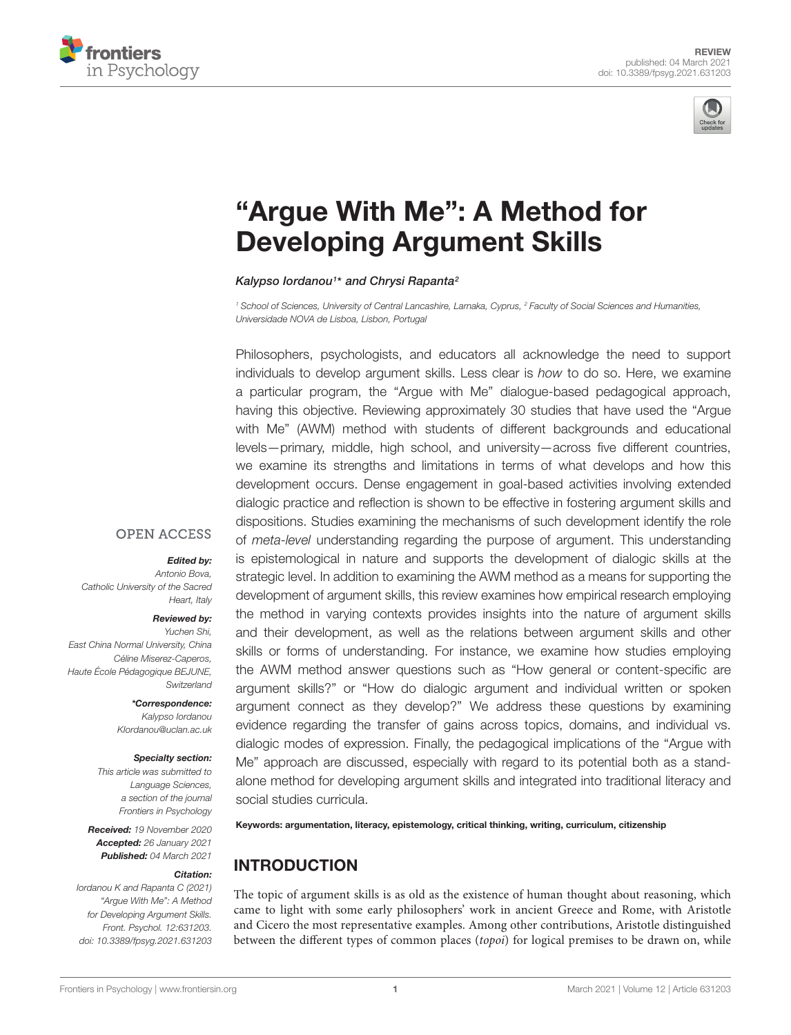



# ["Argue With Me": A Method for](https://www.frontiersin.org/articles/10.3389/fpsyg.2021.631203/full) Developing Argument Skills

Kalypso lordanou<sup>1\*</sup> and Chrysi Rapanta<sup>2</sup>

<sup>1</sup> School of Sciences, University of Central Lancashire, Larnaka, Cyprus, <sup>2</sup> Faculty of Social Sciences and Humanities, Universidade NOVA de Lisboa, Lisbon, Portugal

Philosophers, psychologists, and educators all acknowledge the need to support individuals to develop argument skills. Less clear is how to do so. Here, we examine a particular program, the "Argue with Me" dialogue-based pedagogical approach, having this objective. Reviewing approximately 30 studies that have used the "Argue with Me" (AWM) method with students of different backgrounds and educational levels—primary, middle, high school, and university—across five different countries, we examine its strengths and limitations in terms of what develops and how this development occurs. Dense engagement in goal-based activities involving extended dialogic practice and reflection is shown to be effective in fostering argument skills and dispositions. Studies examining the mechanisms of such development identify the role of meta-level understanding regarding the purpose of argument. This understanding is epistemological in nature and supports the development of dialogic skills at the strategic level. In addition to examining the AWM method as a means for supporting the development of argument skills, this review examines how empirical research employing the method in varying contexts provides insights into the nature of argument skills and their development, as well as the relations between argument skills and other skills or forms of understanding. For instance, we examine how studies employing the AWM method answer questions such as "How general or content-specific are argument skills?" or "How do dialogic argument and individual written or spoken argument connect as they develop?" We address these questions by examining evidence regarding the transfer of gains across topics, domains, and individual vs. dialogic modes of expression. Finally, the pedagogical implications of the "Argue with Me" approach are discussed, especially with regard to its potential both as a standalone method for developing argument skills and integrated into traditional literacy and social studies curricula.

Keywords: argumentation, literacy, epistemology, critical thinking, writing, curriculum, citizenship

### INTRODUCTION

The topic of argument skills is as old as the existence of human thought about reasoning, which came to light with some early philosophers' work in ancient Greece and Rome, with Aristotle and Cicero the most representative examples. Among other contributions, Aristotle distinguished between the different types of common places (topoi) for logical premises to be drawn on, while

#### **OPEN ACCESS**

#### Edited by:

Antonio Bova, Catholic University of the Sacred Heart, Italy

#### Reviewed by:

Yuchen Shi, East China Normal University, China Céline Miserez-Caperos, Haute École Pédagogique BEJUNE, **Switzerland** 

\*Correspondence:

Kalypso Iordanou KIordanou@uclan.ac.uk

#### Specialty section:

This article was submitted to Language Sciences, a section of the journal Frontiers in Psychology

Received: 19 November 2020 Accepted: 26 January 2021 Published: 04 March 2021

#### Citation:

Iordanou K and Rapanta C (2021) "Argue With Me": A Method for Developing Argument Skills. Front. Psychol. 12:631203. doi: [10.3389/fpsyg.2021.631203](https://doi.org/10.3389/fpsyg.2021.631203)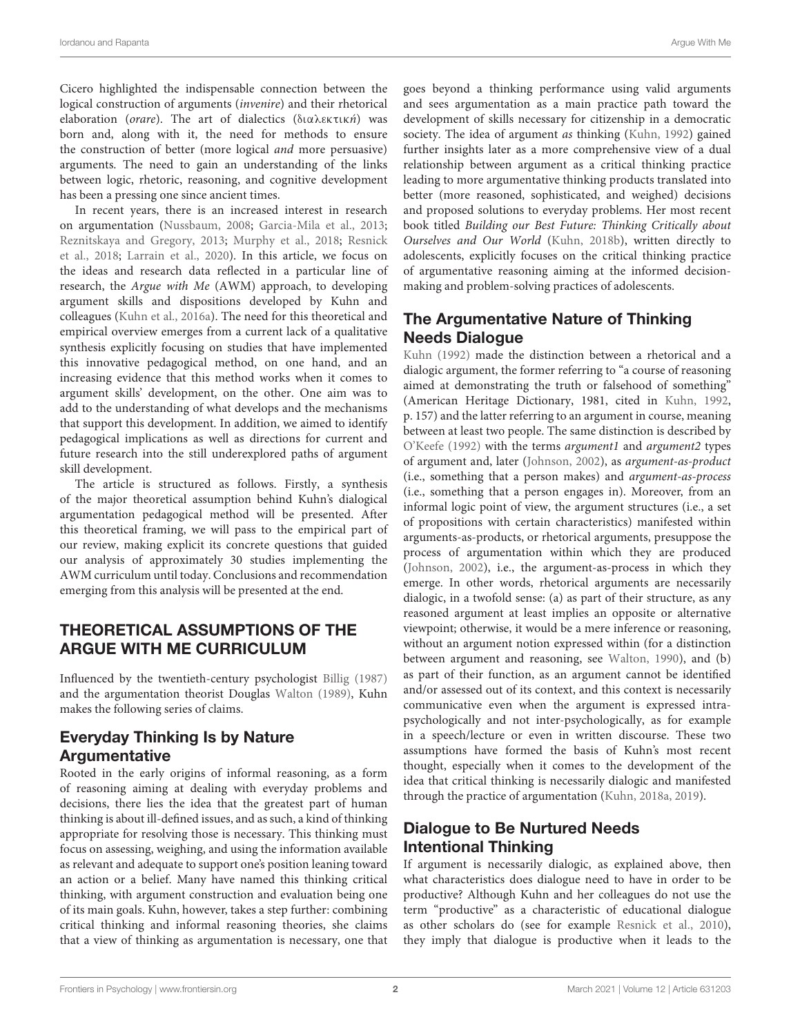Cicero highlighted the indispensable connection between the logical construction of arguments (invenire) and their rhetorical elaboration (orare). The art of dialectics (διαλεκτική) was born and, along with it, the need for methods to ensure the construction of better (more logical and more persuasive) arguments. The need to gain an understanding of the links between logic, rhetoric, reasoning, and cognitive development has been a pressing one since ancient times.

In recent years, there is an increased interest in research on argumentation [\(Nussbaum,](#page-13-0) [2008;](#page-13-0) [Garcia-Mila et al.,](#page-12-0) [2013;](#page-12-0) [Reznitskaya and Gregory,](#page-13-1) [2013;](#page-13-1) [Murphy et al.,](#page-13-2) [2018;](#page-13-2) [Resnick](#page-13-3) [et al.,](#page-13-3) [2018;](#page-13-3) [Larrain et al.,](#page-12-1) [2020\)](#page-12-1). In this article, we focus on the ideas and research data reflected in a particular line of research, the Argue with Me (AWM) approach, to developing argument skills and dispositions developed by Kuhn and colleagues [\(Kuhn et al.,](#page-12-2) [2016a\)](#page-12-2). The need for this theoretical and empirical overview emerges from a current lack of a qualitative synthesis explicitly focusing on studies that have implemented this innovative pedagogical method, on one hand, and an increasing evidence that this method works when it comes to argument skills' development, on the other. One aim was to add to the understanding of what develops and the mechanisms that support this development. In addition, we aimed to identify pedagogical implications as well as directions for current and future research into the still underexplored paths of argument skill development.

The article is structured as follows. Firstly, a synthesis of the major theoretical assumption behind Kuhn's dialogical argumentation pedagogical method will be presented. After this theoretical framing, we will pass to the empirical part of our review, making explicit its concrete questions that guided our analysis of approximately 30 studies implementing the AWM curriculum until today. Conclusions and recommendation emerging from this analysis will be presented at the end.

### THEORETICAL ASSUMPTIONS OF THE ARGUE WITH ME CURRICULUM

Influenced by the twentieth-century psychologist [Billig](#page-12-3) [\(1987\)](#page-12-3) and the argumentation theorist Douglas [Walton](#page-13-4) [\(1989\)](#page-13-4), Kuhn makes the following series of claims.

### Everyday Thinking Is by Nature Argumentative

Rooted in the early origins of informal reasoning, as a form of reasoning aiming at dealing with everyday problems and decisions, there lies the idea that the greatest part of human thinking is about ill-defined issues, and as such, a kind of thinking appropriate for resolving those is necessary. This thinking must focus on assessing, weighing, and using the information available as relevant and adequate to support one's position leaning toward an action or a belief. Many have named this thinking critical thinking, with argument construction and evaluation being one of its main goals. Kuhn, however, takes a step further: combining critical thinking and informal reasoning theories, she claims that a view of thinking as argumentation is necessary, one that

goes beyond a thinking performance using valid arguments and sees argumentation as a main practice path toward the development of skills necessary for citizenship in a democratic society. The idea of argument *as* thinking [\(Kuhn,](#page-12-4) [1992\)](#page-12-4) gained further insights later as a more comprehensive view of a dual relationship between argument as a critical thinking practice leading to more argumentative thinking products translated into better (more reasoned, sophisticated, and weighed) decisions and proposed solutions to everyday problems. Her most recent book titled Building our Best Future: Thinking Critically about Ourselves and Our World [\(Kuhn,](#page-12-5) [2018b\)](#page-12-5), written directly to adolescents, explicitly focuses on the critical thinking practice of argumentative reasoning aiming at the informed decisionmaking and problem-solving practices of adolescents.

# The Argumentative Nature of Thinking Needs Dialogue

[Kuhn](#page-12-4) [\(1992\)](#page-12-4) made the distinction between a rhetorical and a dialogic argument, the former referring to "a course of reasoning aimed at demonstrating the truth or falsehood of something" (American Heritage Dictionary, 1981, cited in [Kuhn,](#page-12-4) [1992,](#page-12-4) p. 157) and the latter referring to an argument in course, meaning between at least two people. The same distinction is described by [O'Keefe](#page-13-5) [\(1992\)](#page-13-5) with the terms argument1 and argument2 types of argument and, later [\(Johnson,](#page-12-6) [2002\)](#page-12-6), as argument-as-product (i.e., something that a person makes) and argument-as-process (i.e., something that a person engages in). Moreover, from an informal logic point of view, the argument structures (i.e., a set of propositions with certain characteristics) manifested within arguments-as-products, or rhetorical arguments, presuppose the process of argumentation within which they are produced [\(Johnson,](#page-12-6) [2002\)](#page-12-6), i.e., the argument-as-process in which they emerge. In other words, rhetorical arguments are necessarily dialogic, in a twofold sense: (a) as part of their structure, as any reasoned argument at least implies an opposite or alternative viewpoint; otherwise, it would be a mere inference or reasoning, without an argument notion expressed within (for a distinction between argument and reasoning, see [Walton,](#page-13-6) [1990\)](#page-13-6), and (b) as part of their function, as an argument cannot be identified and/or assessed out of its context, and this context is necessarily communicative even when the argument is expressed intrapsychologically and not inter-psychologically, as for example in a speech/lecture or even in written discourse. These two assumptions have formed the basis of Kuhn's most recent thought, especially when it comes to the development of the idea that critical thinking is necessarily dialogic and manifested through the practice of argumentation [\(Kuhn,](#page-12-7) [2018a,](#page-12-7) [2019\)](#page-12-8).

# Dialogue to Be Nurtured Needs Intentional Thinking

If argument is necessarily dialogic, as explained above, then what characteristics does dialogue need to have in order to be productive? Although Kuhn and her colleagues do not use the term "productive" as a characteristic of educational dialogue as other scholars do (see for example [Resnick et al.,](#page-13-7) [2010\)](#page-13-7), they imply that dialogue is productive when it leads to the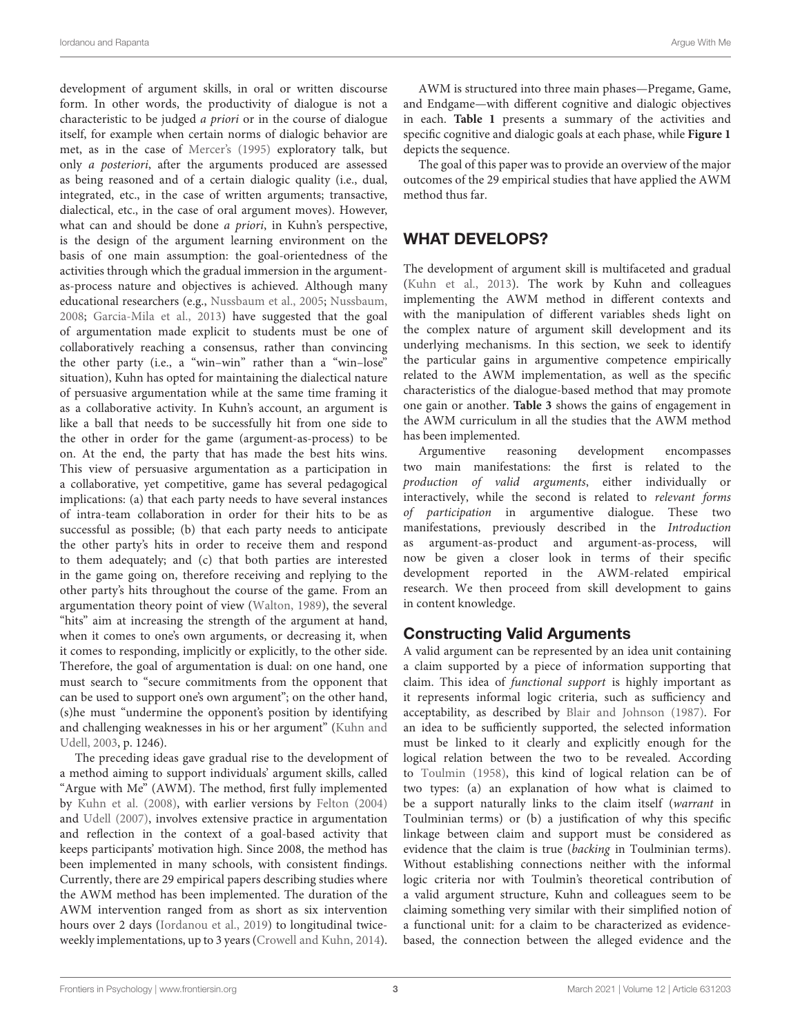development of argument skills, in oral or written discourse form. In other words, the productivity of dialogue is not a characteristic to be judged a priori or in the course of dialogue itself, for example when certain norms of dialogic behavior are met, as in the case of [Mercer'](#page-13-8)s [\(1995\)](#page-13-8) exploratory talk, but only a posteriori, after the arguments produced are assessed as being reasoned and of a certain dialogic quality (i.e., dual, integrated, etc., in the case of written arguments; transactive, dialectical, etc., in the case of oral argument moves). However, what can and should be done a priori, in Kuhn's perspective, is the design of the argument learning environment on the basis of one main assumption: the goal-orientedness of the activities through which the gradual immersion in the argumentas-process nature and objectives is achieved. Although many educational researchers (e.g., [Nussbaum et al.,](#page-13-9) [2005;](#page-13-9) [Nussbaum,](#page-13-0) [2008;](#page-13-0) [Garcia-Mila et al.,](#page-12-0) [2013\)](#page-12-0) have suggested that the goal of argumentation made explicit to students must be one of collaboratively reaching a consensus, rather than convincing the other party (i.e., a "win–win" rather than a "win–lose" situation), Kuhn has opted for maintaining the dialectical nature of persuasive argumentation while at the same time framing it as a collaborative activity. In Kuhn's account, an argument is like a ball that needs to be successfully hit from one side to the other in order for the game (argument-as-process) to be on. At the end, the party that has made the best hits wins. This view of persuasive argumentation as a participation in a collaborative, yet competitive, game has several pedagogical implications: (a) that each party needs to have several instances of intra-team collaboration in order for their hits to be as successful as possible; (b) that each party needs to anticipate the other party's hits in order to receive them and respond to them adequately; and (c) that both parties are interested in the game going on, therefore receiving and replying to the other party's hits throughout the course of the game. From an argumentation theory point of view [\(Walton,](#page-13-4) [1989\)](#page-13-4), the several "hits" aim at increasing the strength of the argument at hand, when it comes to one's own arguments, or decreasing it, when it comes to responding, implicitly or explicitly, to the other side. Therefore, the goal of argumentation is dual: on one hand, one must search to "secure commitments from the opponent that can be used to support one's own argument"; on the other hand, (s)he must "undermine the opponent's position by identifying and challenging weaknesses in his or her argument" [\(Kuhn and](#page-12-9) [Udell,](#page-12-9) [2003,](#page-12-9) p. 1246).

The preceding ideas gave gradual rise to the development of a method aiming to support individuals' argument skills, called "Argue with Me" (AWM). The method, first fully implemented by [Kuhn et al.](#page-12-10) [\(2008\)](#page-12-10), with earlier versions by [Felton](#page-12-11) [\(2004\)](#page-12-11) and [Udell](#page-13-10) [\(2007\)](#page-13-10), involves extensive practice in argumentation and reflection in the context of a goal-based activity that keeps participants' motivation high. Since 2008, the method has been implemented in many schools, with consistent findings. Currently, there are 29 empirical papers describing studies where the AWM method has been implemented. The duration of the AWM intervention ranged from as short as six intervention hours over 2 days [\(Iordanou et al.,](#page-12-12) [2019\)](#page-12-12) to longitudinal twiceweekly implementations, up to 3 years [\(Crowell and Kuhn,](#page-12-13) [2014\)](#page-12-13).

AWM is structured into three main phases—Pregame, Game, and Endgame—with different cognitive and dialogic objectives in each. **[Table 1](#page-3-0)** presents a summary of the activities and specific cognitive and dialogic goals at each phase, while **[Figure 1](#page-3-1)** depicts the sequence.

The goal of this paper was to provide an overview of the major outcomes of the 29 empirical studies that have applied the AWM method thus far.

# WHAT DEVELOPS?

The development of argument skill is multifaceted and gradual [\(Kuhn et al.,](#page-12-14) [2013\)](#page-12-14). The work by Kuhn and colleagues implementing the AWM method in different contexts and with the manipulation of different variables sheds light on the complex nature of argument skill development and its underlying mechanisms. In this section, we seek to identify the particular gains in argumentive competence empirically related to the AWM implementation, as well as the specific characteristics of the dialogue-based method that may promote one gain or another. **[Table 3](#page-9-0)** shows the gains of engagement in the AWM curriculum in all the studies that the AWM method has been implemented.

Argumentive reasoning development encompasses two main manifestations: the first is related to the production of valid arguments, either individually or interactively, while the second is related to relevant forms of participation in argumentive dialogue. These two manifestations, previously described in the Introduction as argument-as-product and argument-as-process, will now be given a closer look in terms of their specific development reported in the AWM-related empirical research. We then proceed from skill development to gains in content knowledge.

# Constructing Valid Arguments

A valid argument can be represented by an idea unit containing a claim supported by a piece of information supporting that claim. This idea of functional support is highly important as it represents informal logic criteria, such as sufficiency and acceptability, as described by [Blair and Johnson](#page-12-15) [\(1987\)](#page-12-15). For an idea to be sufficiently supported, the selected information must be linked to it clearly and explicitly enough for the logical relation between the two to be revealed. According to [Toulmin](#page-13-11) [\(1958\)](#page-13-11), this kind of logical relation can be of two types: (a) an explanation of how what is claimed to be a support naturally links to the claim itself (warrant in Toulminian terms) or (b) a justification of why this specific linkage between claim and support must be considered as evidence that the claim is true (backing in Toulminian terms). Without establishing connections neither with the informal logic criteria nor with Toulmin's theoretical contribution of a valid argument structure, Kuhn and colleagues seem to be claiming something very similar with their simplified notion of a functional unit: for a claim to be characterized as evidencebased, the connection between the alleged evidence and the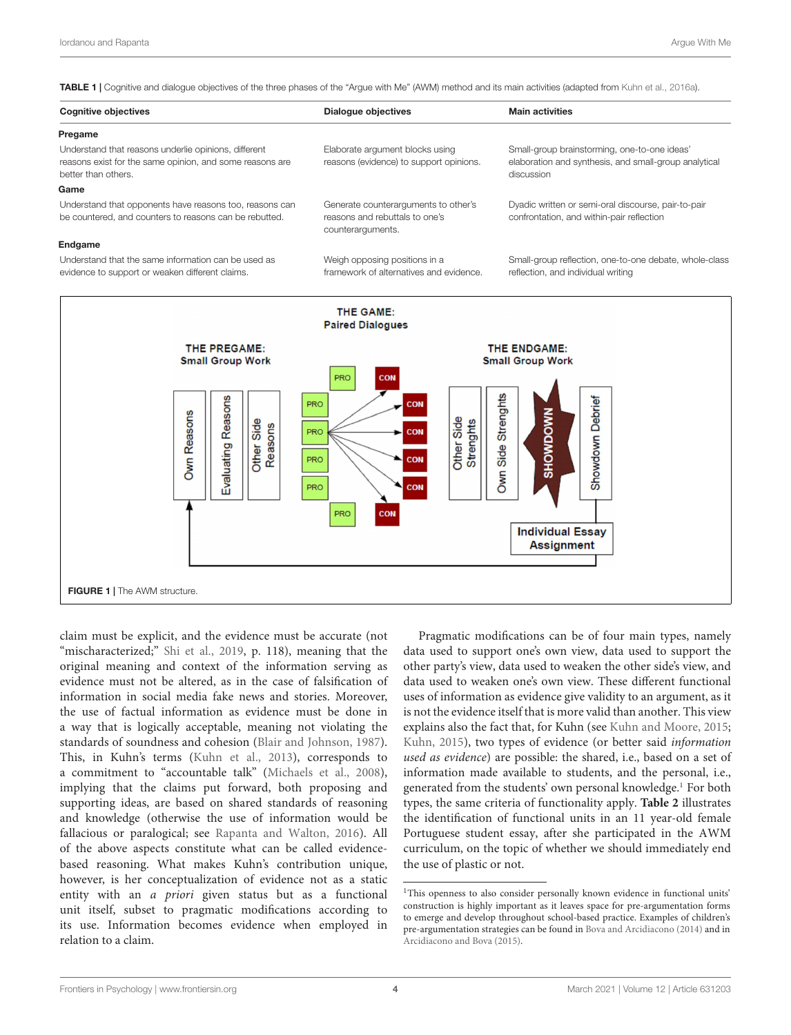<span id="page-3-0"></span>TABLE 1 | Cognitive and dialogue objectives of the three phases of the "Argue with Me" (AWM) method and its main activities (adapted from [Kuhn et al.,](#page-12-2) [2016a\)](#page-12-2).

| <b>Cognitive objectives</b>                                                                                                             | Dialogue objectives                                                                         | <b>Main activities</b>                                                                                              |
|-----------------------------------------------------------------------------------------------------------------------------------------|---------------------------------------------------------------------------------------------|---------------------------------------------------------------------------------------------------------------------|
| Pregame                                                                                                                                 |                                                                                             |                                                                                                                     |
| Understand that reasons underlie opinions, different<br>reasons exist for the same opinion, and some reasons are<br>better than others. | Elaborate argument blocks using<br>reasons (evidence) to support opinions.                  | Small-group brainstorming, one-to-one ideas'<br>elaboration and synthesis, and small-group analytical<br>discussion |
| Game                                                                                                                                    |                                                                                             |                                                                                                                     |
| Understand that opponents have reasons too, reasons can<br>be countered, and counters to reasons can be rebutted.                       | Generate counterarguments to other's<br>reasons and rebuttals to one's<br>counterarguments. | Dyadic written or semi-oral discourse, pair-to-pair<br>confrontation, and within-pair reflection                    |
| Endgame                                                                                                                                 |                                                                                             |                                                                                                                     |
| Understand that the same information can be used as<br>evidence to support or weaken different claims.                                  | Weigh opposing positions in a<br>framework of alternatives and evidence.                    | Small-group reflection, one-to-one debate, whole-class<br>reflection, and individual writing                        |



<span id="page-3-1"></span>claim must be explicit, and the evidence must be accurate (not "mischaracterized;" [Shi et al.,](#page-13-12) [2019,](#page-13-12) p. 118), meaning that the original meaning and context of the information serving as evidence must not be altered, as in the case of falsification of information in social media fake news and stories. Moreover, the use of factual information as evidence must be done in a way that is logically acceptable, meaning not violating the standards of soundness and cohesion [\(Blair and Johnson,](#page-12-15) [1987\)](#page-12-15). This, in Kuhn's terms [\(Kuhn et al.,](#page-12-14) [2013\)](#page-12-14), corresponds to a commitment to "accountable talk" [\(Michaels et al.,](#page-13-13) [2008\)](#page-13-13), implying that the claims put forward, both proposing and supporting ideas, are based on shared standards of reasoning and knowledge (otherwise the use of information would be fallacious or paralogical; see [Rapanta and Walton,](#page-13-14) [2016\)](#page-13-14). All of the above aspects constitute what can be called evidencebased reasoning. What makes Kuhn's contribution unique, however, is her conceptualization of evidence not as a static entity with an a priori given status but as a functional unit itself, subset to pragmatic modifications according to its use. Information becomes evidence when employed in relation to a claim.

Pragmatic modifications can be of four main types, namely data used to support one's own view, data used to support the other party's view, data used to weaken the other side's view, and data used to weaken one's own view. These different functional uses of information as evidence give validity to an argument, as it is not the evidence itself that is more valid than another. This view explains also the fact that, for Kuhn (see [Kuhn and Moore,](#page-12-16) [2015;](#page-12-16) [Kuhn,](#page-12-17) [2015\)](#page-12-17), two types of evidence (or better said information used as evidence) are possible: the shared, i.e., based on a set of information made available to students, and the personal, i.e., generated from the students' own personal knowledge.<sup>[1](#page-3-2)</sup> For both types, the same criteria of functionality apply. **[Table 2](#page-4-0)** illustrates the identification of functional units in an 11 year-old female Portuguese student essay, after she participated in the AWM curriculum, on the topic of whether we should immediately end the use of plastic or not.

<span id="page-3-2"></span><sup>&</sup>lt;sup>1</sup>This openness to also consider personally known evidence in functional units' construction is highly important as it leaves space for pre-argumentation forms to emerge and develop throughout school-based practice. Examples of children's pre-argumentation strategies can be found in [Bova and Arcidiacono](#page-12-18) [\(2014\)](#page-12-18) and in [Arcidiacono and Bova](#page-12-19) [\(2015\)](#page-12-19).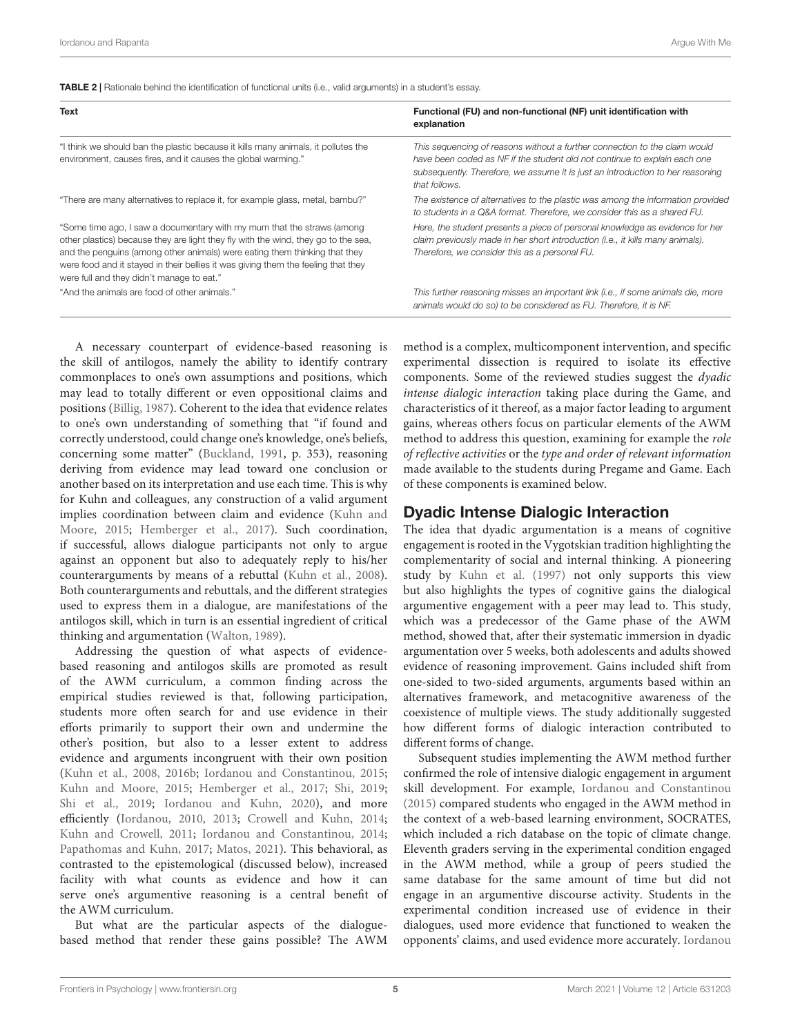<span id="page-4-0"></span>TABLE 2 | Rationale behind the identification of functional units (i.e., valid arguments) in a student's essay.

| Text                                                                                                                                                                                                                                                                                                                                                                         | Functional (FU) and non-functional (NF) unit identification with<br>explanation                                                                                                                                                                            |
|------------------------------------------------------------------------------------------------------------------------------------------------------------------------------------------------------------------------------------------------------------------------------------------------------------------------------------------------------------------------------|------------------------------------------------------------------------------------------------------------------------------------------------------------------------------------------------------------------------------------------------------------|
| "I think we should ban the plastic because it kills many animals, it pollutes the<br>environment, causes fires, and it causes the global warming."                                                                                                                                                                                                                           | This sequencing of reasons without a further connection to the claim would<br>have been coded as NF if the student did not continue to explain each one<br>subsequently. Therefore, we assume it is just an introduction to her reasoning<br>that follows. |
| "There are many alternatives to replace it, for example glass, metal, bambu?"                                                                                                                                                                                                                                                                                                | The existence of alternatives to the plastic was among the information provided<br>to students in a Q&A format. Therefore, we consider this as a shared FU.                                                                                                |
| "Some time ago, I saw a documentary with my mum that the straws (among<br>other plastics) because they are light they fly with the wind, they go to the sea,<br>and the penguins (among other animals) were eating them thinking that they<br>were food and it stayed in their bellies it was giving them the feeling that they<br>were full and they didn't manage to eat." | Here, the student presents a piece of personal knowledge as evidence for her<br>claim previously made in her short introduction (i.e., it kills many animals).<br>Therefore, we consider this as a personal FU.                                            |
| "And the animals are food of other animals."                                                                                                                                                                                                                                                                                                                                 | This further reasoning misses an important link (i.e., if some animals die, more<br>animals would do so) to be considered as FU. Therefore, it is NF.                                                                                                      |

A necessary counterpart of evidence-based reasoning is the skill of antilogos, namely the ability to identify contrary commonplaces to one's own assumptions and positions, which may lead to totally different or even oppositional claims and positions [\(Billig,](#page-12-3) [1987\)](#page-12-3). Coherent to the idea that evidence relates to one's own understanding of something that "if found and correctly understood, could change one's knowledge, one's beliefs, concerning some matter" [\(Buckland,](#page-12-20) [1991,](#page-12-20) p. 353), reasoning deriving from evidence may lead toward one conclusion or another based on its interpretation and use each time. This is why for Kuhn and colleagues, any construction of a valid argument implies coordination between claim and evidence [\(Kuhn and](#page-12-16) [Moore,](#page-12-16) [2015;](#page-12-16) [Hemberger et al.,](#page-12-21) [2017\)](#page-12-21). Such coordination, if successful, allows dialogue participants not only to argue against an opponent but also to adequately reply to his/her counterarguments by means of a rebuttal [\(Kuhn et al.,](#page-12-10) [2008\)](#page-12-10). Both counterarguments and rebuttals, and the different strategies used to express them in a dialogue, are manifestations of the antilogos skill, which in turn is an essential ingredient of critical thinking and argumentation [\(Walton,](#page-13-4) [1989\)](#page-13-4).

Addressing the question of what aspects of evidencebased reasoning and antilogos skills are promoted as result of the AWM curriculum, a common finding across the empirical studies reviewed is that, following participation, students more often search for and use evidence in their efforts primarily to support their own and undermine the other's position, but also to a lesser extent to address evidence and arguments incongruent with their own position [\(Kuhn et al.,](#page-12-10) [2008,](#page-12-10) [2016b;](#page-12-22) [Iordanou and Constantinou,](#page-12-23) [2015;](#page-12-23) [Kuhn and Moore,](#page-12-16) [2015;](#page-12-16) [Hemberger et al.,](#page-12-21) [2017;](#page-12-21) [Shi,](#page-13-15) [2019;](#page-13-15) [Shi et al.,](#page-13-12) [2019;](#page-13-12) [Iordanou and Kuhn,](#page-12-24) [2020\)](#page-12-24), and more efficiently [\(Iordanou,](#page-12-25) [2010,](#page-12-25) [2013;](#page-12-26) [Crowell and Kuhn,](#page-12-13) [2014;](#page-12-13) [Kuhn and Crowell,](#page-12-27) [2011;](#page-12-27) [Iordanou and Constantinou,](#page-12-28) [2014;](#page-12-28) [Papathomas and Kuhn,](#page-13-16) [2017;](#page-13-16) [Matos,](#page-12-29) [2021\)](#page-12-29). This behavioral, as contrasted to the epistemological (discussed below), increased facility with what counts as evidence and how it can serve one's argumentive reasoning is a central benefit of the AWM curriculum.

But what are the particular aspects of the dialoguebased method that render these gains possible? The AWM method is a complex, multicomponent intervention, and specific experimental dissection is required to isolate its effective components. Some of the reviewed studies suggest the dyadic intense dialogic interaction taking place during the Game, and characteristics of it thereof, as a major factor leading to argument gains, whereas others focus on particular elements of the AWM method to address this question, examining for example the role of reflective activities or the type and order of relevant information made available to the students during Pregame and Game. Each of these components is examined below.

#### Dyadic Intense Dialogic Interaction

The idea that dyadic argumentation is a means of cognitive engagement is rooted in the Vygotskian tradition highlighting the complementarity of social and internal thinking. A pioneering study by [Kuhn et al.](#page-12-30) [\(1997\)](#page-12-30) not only supports this view but also highlights the types of cognitive gains the dialogical argumentive engagement with a peer may lead to. This study, which was a predecessor of the Game phase of the AWM method, showed that, after their systematic immersion in dyadic argumentation over 5 weeks, both adolescents and adults showed evidence of reasoning improvement. Gains included shift from one-sided to two-sided arguments, arguments based within an alternatives framework, and metacognitive awareness of the coexistence of multiple views. The study additionally suggested how different forms of dialogic interaction contributed to different forms of change.

Subsequent studies implementing the AWM method further confirmed the role of intensive dialogic engagement in argument skill development. For example, [Iordanou and Constantinou](#page-12-23) [\(2015\)](#page-12-23) compared students who engaged in the AWM method in the context of a web-based learning environment, SOCRATES, which included a rich database on the topic of climate change. Eleventh graders serving in the experimental condition engaged in the AWM method, while a group of peers studied the same database for the same amount of time but did not engage in an argumentive discourse activity. Students in the experimental condition increased use of evidence in their dialogues, used more evidence that functioned to weaken the opponents' claims, and used evidence more accurately. [Iordanou](#page-12-24)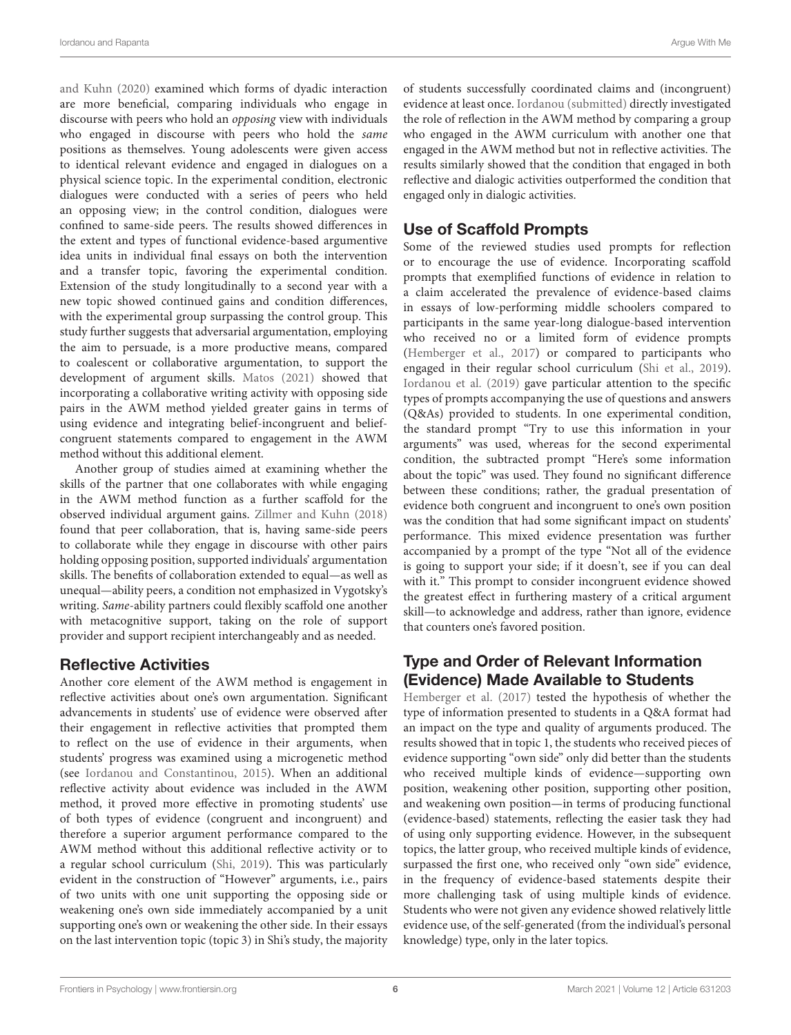[and Kuhn](#page-12-24) [\(2020\)](#page-12-24) examined which forms of dyadic interaction are more beneficial, comparing individuals who engage in discourse with peers who hold an opposing view with individuals who engaged in discourse with peers who hold the same positions as themselves. Young adolescents were given access to identical relevant evidence and engaged in dialogues on a physical science topic. In the experimental condition, electronic dialogues were conducted with a series of peers who held an opposing view; in the control condition, dialogues were confined to same-side peers. The results showed differences in the extent and types of functional evidence-based argumentive idea units in individual final essays on both the intervention and a transfer topic, favoring the experimental condition. Extension of the study longitudinally to a second year with a new topic showed continued gains and condition differences, with the experimental group surpassing the control group. This study further suggests that adversarial argumentation, employing the aim to persuade, is a more productive means, compared to coalescent or collaborative argumentation, to support the development of argument skills. [Matos](#page-12-29) [\(2021\)](#page-12-29) showed that incorporating a collaborative writing activity with opposing side pairs in the AWM method yielded greater gains in terms of using evidence and integrating belief-incongruent and beliefcongruent statements compared to engagement in the AWM method without this additional element.

Another group of studies aimed at examining whether the skills of the partner that one collaborates with while engaging in the AWM method function as a further scaffold for the observed individual argument gains. [Zillmer and Kuhn](#page-13-17) [\(2018\)](#page-13-17) found that peer collaboration, that is, having same-side peers to collaborate while they engage in discourse with other pairs holding opposing position, supported individuals' argumentation skills. The benefits of collaboration extended to equal—as well as unequal—ability peers, a condition not emphasized in Vygotsky's writing. Same-ability partners could flexibly scaffold one another with metacognitive support, taking on the role of support provider and support recipient interchangeably and as needed.

### Reflective Activities

Another core element of the AWM method is engagement in reflective activities about one's own argumentation. Significant advancements in students' use of evidence were observed after their engagement in reflective activities that prompted them to reflect on the use of evidence in their arguments, when students' progress was examined using a microgenetic method (see [Iordanou and Constantinou,](#page-12-23) [2015\)](#page-12-23). When an additional reflective activity about evidence was included in the AWM method, it proved more effective in promoting students' use of both types of evidence (congruent and incongruent) and therefore a superior argument performance compared to the AWM method without this additional reflective activity or to a regular school curriculum [\(Shi,](#page-13-15) [2019\)](#page-13-15). This was particularly evident in the construction of "However" arguments, i.e., pairs of two units with one unit supporting the opposing side or weakening one's own side immediately accompanied by a unit supporting one's own or weakening the other side. In their essays on the last intervention topic (topic 3) in Shi's study, the majority of students successfully coordinated claims and (incongruent) evidence at least once. [Iordanou](#page-12-31) [\(submitted\)](#page-12-31) directly investigated the role of reflection in the AWM method by comparing a group who engaged in the AWM curriculum with another one that engaged in the AWM method but not in reflective activities. The results similarly showed that the condition that engaged in both reflective and dialogic activities outperformed the condition that engaged only in dialogic activities.

# Use of Scaffold Prompts

Some of the reviewed studies used prompts for reflection or to encourage the use of evidence. Incorporating scaffold prompts that exemplified functions of evidence in relation to a claim accelerated the prevalence of evidence-based claims in essays of low-performing middle schoolers compared to participants in the same year-long dialogue-based intervention who received no or a limited form of evidence prompts [\(Hemberger et al.,](#page-12-21) [2017\)](#page-12-21) or compared to participants who engaged in their regular school curriculum [\(Shi et al.,](#page-13-12) [2019\)](#page-13-12). [Iordanou et al.](#page-12-12) [\(2019\)](#page-12-12) gave particular attention to the specific types of prompts accompanying the use of questions and answers (Q&As) provided to students. In one experimental condition, the standard prompt "Try to use this information in your arguments" was used, whereas for the second experimental condition, the subtracted prompt "Here's some information about the topic" was used. They found no significant difference between these conditions; rather, the gradual presentation of evidence both congruent and incongruent to one's own position was the condition that had some significant impact on students' performance. This mixed evidence presentation was further accompanied by a prompt of the type "Not all of the evidence is going to support your side; if it doesn't, see if you can deal with it." This prompt to consider incongruent evidence showed the greatest effect in furthering mastery of a critical argument skill—to acknowledge and address, rather than ignore, evidence that counters one's favored position.

# Type and Order of Relevant Information (Evidence) Made Available to Students

[Hemberger et al.](#page-12-21) [\(2017\)](#page-12-21) tested the hypothesis of whether the type of information presented to students in a Q&A format had an impact on the type and quality of arguments produced. The results showed that in topic 1, the students who received pieces of evidence supporting "own side" only did better than the students who received multiple kinds of evidence—supporting own position, weakening other position, supporting other position, and weakening own position—in terms of producing functional (evidence-based) statements, reflecting the easier task they had of using only supporting evidence. However, in the subsequent topics, the latter group, who received multiple kinds of evidence, surpassed the first one, who received only "own side" evidence, in the frequency of evidence-based statements despite their more challenging task of using multiple kinds of evidence. Students who were not given any evidence showed relatively little evidence use, of the self-generated (from the individual's personal knowledge) type, only in the later topics.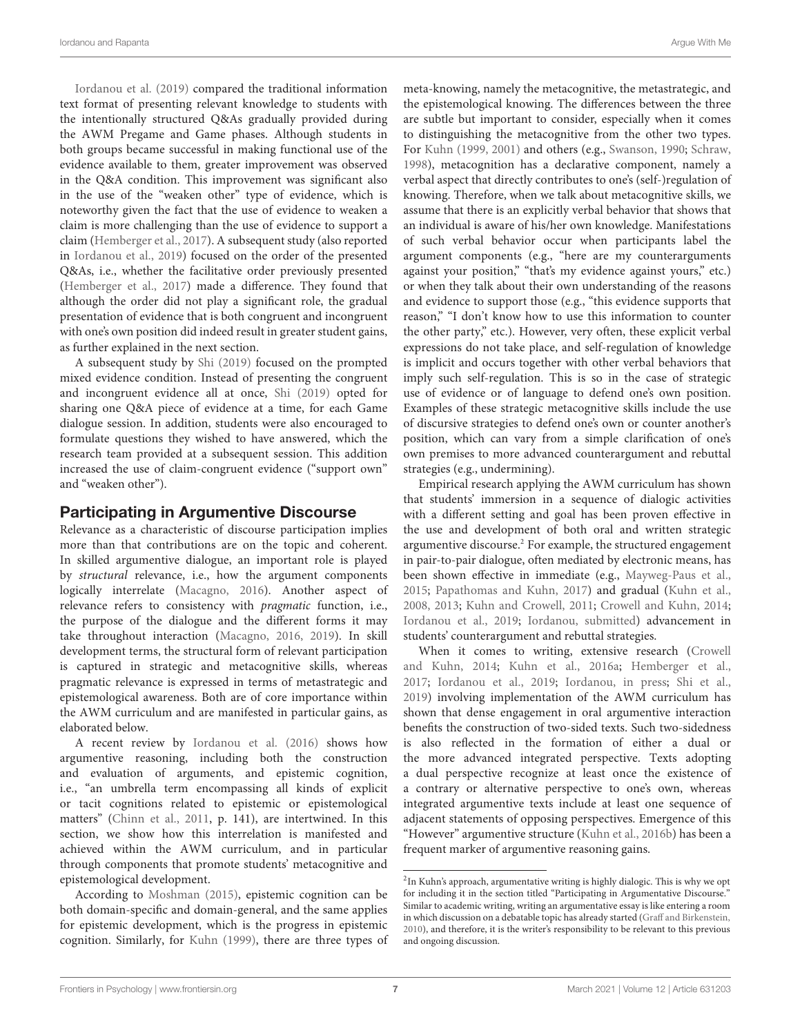[Iordanou et al.](#page-12-12) [\(2019\)](#page-12-12) compared the traditional information text format of presenting relevant knowledge to students with the intentionally structured Q&As gradually provided during the AWM Pregame and Game phases. Although students in both groups became successful in making functional use of the evidence available to them, greater improvement was observed in the Q&A condition. This improvement was significant also in the use of the "weaken other" type of evidence, which is noteworthy given the fact that the use of evidence to weaken a claim is more challenging than the use of evidence to support a claim [\(Hemberger et al.,](#page-12-21) [2017\)](#page-12-21). A subsequent study (also reported in [Iordanou et al.,](#page-12-12) [2019\)](#page-12-12) focused on the order of the presented Q&As, i.e., whether the facilitative order previously presented [\(Hemberger et al.,](#page-12-21) [2017\)](#page-12-21) made a difference. They found that although the order did not play a significant role, the gradual presentation of evidence that is both congruent and incongruent with one's own position did indeed result in greater student gains, as further explained in the next section.

A subsequent study by [Shi](#page-13-15) [\(2019\)](#page-13-15) focused on the prompted mixed evidence condition. Instead of presenting the congruent and incongruent evidence all at once, [Shi](#page-13-15) [\(2019\)](#page-13-15) opted for sharing one Q&A piece of evidence at a time, for each Game dialogue session. In addition, students were also encouraged to formulate questions they wished to have answered, which the research team provided at a subsequent session. This addition increased the use of claim-congruent evidence ("support own" and "weaken other").

### Participating in Argumentive Discourse

Relevance as a characteristic of discourse participation implies more than that contributions are on the topic and coherent. In skilled argumentive dialogue, an important role is played by structural relevance, i.e., how the argument components logically interrelate [\(Macagno,](#page-12-32) [2016\)](#page-12-32). Another aspect of relevance refers to consistency with pragmatic function, i.e., the purpose of the dialogue and the different forms it may take throughout interaction [\(Macagno,](#page-12-32) [2016,](#page-12-32) [2019\)](#page-12-33). In skill development terms, the structural form of relevant participation is captured in strategic and metacognitive skills, whereas pragmatic relevance is expressed in terms of metastrategic and epistemological awareness. Both are of core importance within the AWM curriculum and are manifested in particular gains, as elaborated below.

A recent review by [Iordanou et al.](#page-12-34) [\(2016\)](#page-12-34) shows how argumentive reasoning, including both the construction and evaluation of arguments, and epistemic cognition, i.e., "an umbrella term encompassing all kinds of explicit or tacit cognitions related to epistemic or epistemological matters" [\(Chinn et al.,](#page-12-35) [2011,](#page-12-35) p. 141), are intertwined. In this section, we show how this interrelation is manifested and achieved within the AWM curriculum, and in particular through components that promote students' metacognitive and epistemological development.

According to [Moshman](#page-13-18) [\(2015\)](#page-13-18), epistemic cognition can be both domain-specific and domain-general, and the same applies for epistemic development, which is the progress in epistemic cognition. Similarly, for [Kuhn](#page-12-36) [\(1999\)](#page-12-36), there are three types of meta-knowing, namely the metacognitive, the metastrategic, and the epistemological knowing. The differences between the three are subtle but important to consider, especially when it comes to distinguishing the metacognitive from the other two types. For [Kuhn](#page-12-36) [\(1999,](#page-12-36) [2001\)](#page-12-37) and others (e.g., [Swanson,](#page-13-19) [1990;](#page-13-19) [Schraw,](#page-13-20) [1998\)](#page-13-20), metacognition has a declarative component, namely a verbal aspect that directly contributes to one's (self-)regulation of knowing. Therefore, when we talk about metacognitive skills, we assume that there is an explicitly verbal behavior that shows that an individual is aware of his/her own knowledge. Manifestations of such verbal behavior occur when participants label the argument components (e.g., "here are my counterarguments against your position," "that's my evidence against yours," etc.) or when they talk about their own understanding of the reasons and evidence to support those (e.g., "this evidence supports that reason," "I don't know how to use this information to counter the other party," etc.). However, very often, these explicit verbal expressions do not take place, and self-regulation of knowledge is implicit and occurs together with other verbal behaviors that imply such self-regulation. This is so in the case of strategic use of evidence or of language to defend one's own position. Examples of these strategic metacognitive skills include the use of discursive strategies to defend one's own or counter another's position, which can vary from a simple clarification of one's own premises to more advanced counterargument and rebuttal strategies (e.g., undermining).

Empirical research applying the AWM curriculum has shown that students' immersion in a sequence of dialogic activities with a different setting and goal has been proven effective in the use and development of both oral and written strategic argumentive discourse.[2](#page-6-0) For example, the structured engagement in pair-to-pair dialogue, often mediated by electronic means, has been shown effective in immediate (e.g., [Mayweg-Paus et al.,](#page-13-21) [2015;](#page-13-21) [Papathomas and Kuhn,](#page-13-16) [2017\)](#page-13-16) and gradual [\(Kuhn et al.,](#page-12-10) [2008,](#page-12-10) [2013;](#page-12-14) [Kuhn and Crowell,](#page-12-27) [2011;](#page-12-27) [Crowell and Kuhn,](#page-12-13) [2014;](#page-12-13) [Iordanou et al.,](#page-12-12) [2019;](#page-12-12) [Iordanou,](#page-12-31) [submitted\)](#page-12-31) advancement in students' counterargument and rebuttal strategies.

When it comes to writing, extensive research [\(Crowell](#page-12-13) [and Kuhn,](#page-12-13) [2014;](#page-12-13) [Kuhn et al.,](#page-12-2) [2016a;](#page-12-2) [Hemberger et al.,](#page-12-21) [2017;](#page-12-21) [Iordanou et al.,](#page-12-12) [2019;](#page-12-12) [Iordanou,](#page-12-38) [in press;](#page-12-38) [Shi et al.,](#page-13-12) [2019\)](#page-13-12) involving implementation of the AWM curriculum has shown that dense engagement in oral argumentive interaction benefits the construction of two-sided texts. Such two-sidedness is also reflected in the formation of either a dual or the more advanced integrated perspective. Texts adopting a dual perspective recognize at least once the existence of a contrary or alternative perspective to one's own, whereas integrated argumentive texts include at least one sequence of adjacent statements of opposing perspectives. Emergence of this "However" argumentive structure [\(Kuhn et al.,](#page-12-22) [2016b\)](#page-12-22) has been a frequent marker of argumentive reasoning gains.

<span id="page-6-0"></span><sup>&</sup>lt;sup>2</sup>In Kuhn's approach, argumentative writing is highly dialogic. This is why we opt for including it in the section titled "Participating in Argumentative Discourse." Similar to academic writing, writing an argumentative essay is like entering a room in which discussion on a debatable topic has already started [\(Graff and Birkenstein,](#page-12-39) [2010\)](#page-12-39), and therefore, it is the writer's responsibility to be relevant to this previous and ongoing discussion.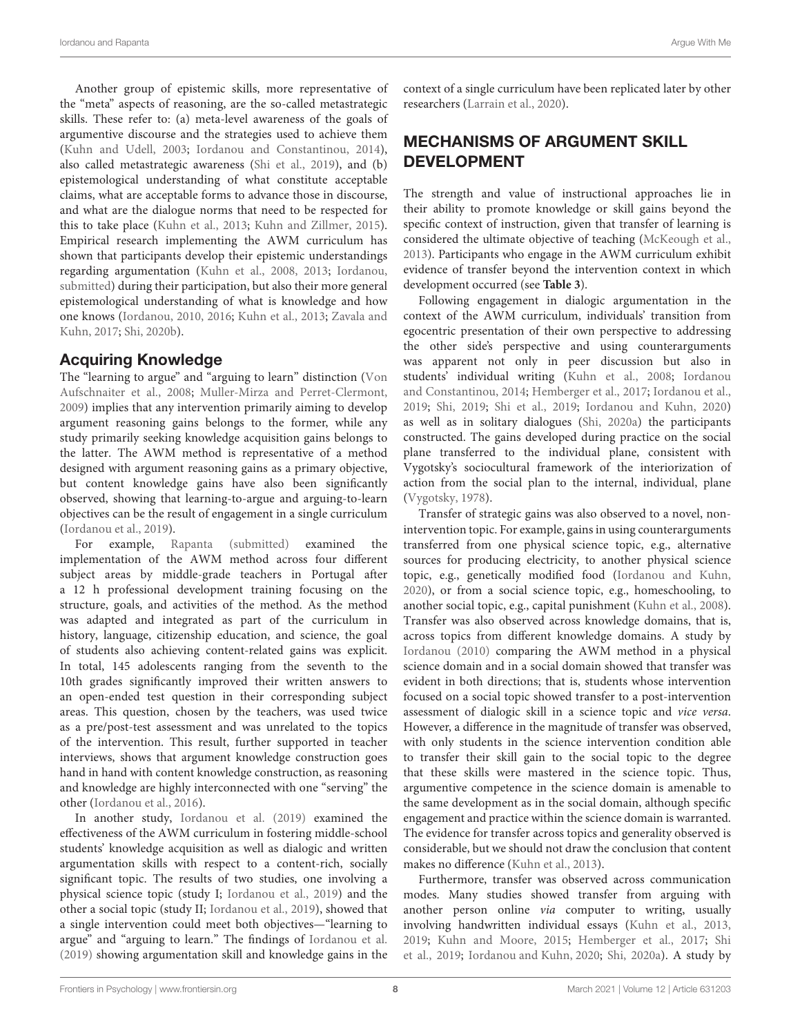Another group of epistemic skills, more representative of the "meta" aspects of reasoning, are the so-called metastrategic skills. These refer to: (a) meta-level awareness of the goals of argumentive discourse and the strategies used to achieve them [\(Kuhn and Udell,](#page-12-9) [2003;](#page-12-9) [Iordanou and Constantinou,](#page-12-28) [2014\)](#page-12-28), also called metastrategic awareness [\(Shi et al.,](#page-13-12) [2019\)](#page-13-12), and (b) epistemological understanding of what constitute acceptable claims, what are acceptable forms to advance those in discourse, and what are the dialogue norms that need to be respected for this to take place [\(Kuhn et al.,](#page-12-14) [2013;](#page-12-14) [Kuhn and Zillmer,](#page-12-40) [2015\)](#page-12-40). Empirical research implementing the AWM curriculum has shown that participants develop their epistemic understandings regarding argumentation [\(Kuhn et al.,](#page-12-10) [2008,](#page-12-10) [2013;](#page-12-14) [Iordanou,](#page-12-31) [submitted\)](#page-12-31) during their participation, but also their more general epistemological understanding of what is knowledge and how one knows [\(Iordanou,](#page-12-25) [2010,](#page-12-25) [2016;](#page-12-41) [Kuhn et al.,](#page-12-14) [2013;](#page-12-14) [Zavala and](#page-13-22) [Kuhn,](#page-13-22) [2017;](#page-13-22) [Shi,](#page-13-23) [2020b\)](#page-13-23).

### Acquiring Knowledge

The "learning to argue" and "arguing to learn" distinction [\(Von](#page-13-24) [Aufschnaiter et al.,](#page-13-24) [2008;](#page-13-24) [Muller-Mirza and Perret-Clermont,](#page-13-25) [2009\)](#page-13-25) implies that any intervention primarily aiming to develop argument reasoning gains belongs to the former, while any study primarily seeking knowledge acquisition gains belongs to the latter. The AWM method is representative of a method designed with argument reasoning gains as a primary objective, but content knowledge gains have also been significantly observed, showing that learning-to-argue and arguing-to-learn objectives can be the result of engagement in a single curriculum [\(Iordanou et al.,](#page-12-12) [2019\)](#page-12-12).

For example, [Rapanta](#page-13-26) [\(submitted\)](#page-13-26) examined the implementation of the AWM method across four different subject areas by middle-grade teachers in Portugal after a 12 h professional development training focusing on the structure, goals, and activities of the method. As the method was adapted and integrated as part of the curriculum in history, language, citizenship education, and science, the goal of students also achieving content-related gains was explicit. In total, 145 adolescents ranging from the seventh to the 10th grades significantly improved their written answers to an open-ended test question in their corresponding subject areas. This question, chosen by the teachers, was used twice as a pre/post-test assessment and was unrelated to the topics of the intervention. This result, further supported in teacher interviews, shows that argument knowledge construction goes hand in hand with content knowledge construction, as reasoning and knowledge are highly interconnected with one "serving" the other [\(Iordanou et al.,](#page-12-34) [2016\)](#page-12-34).

In another study, [Iordanou et al.](#page-12-12) [\(2019\)](#page-12-12) examined the effectiveness of the AWM curriculum in fostering middle-school students' knowledge acquisition as well as dialogic and written argumentation skills with respect to a content-rich, socially significant topic. The results of two studies, one involving a physical science topic (study I; [Iordanou et al.,](#page-12-12) [2019\)](#page-12-12) and the other a social topic (study II; [Iordanou et al.,](#page-12-12) [2019\)](#page-12-12), showed that a single intervention could meet both objectives—"learning to argue" and "arguing to learn." The findings of [Iordanou et al.](#page-12-12) [\(2019\)](#page-12-12) showing argumentation skill and knowledge gains in the context of a single curriculum have been replicated later by other researchers [\(Larrain et al.,](#page-12-1) [2020\)](#page-12-1).

# MECHANISMS OF ARGUMENT SKILL DEVELOPMENT

The strength and value of instructional approaches lie in their ability to promote knowledge or skill gains beyond the specific context of instruction, given that transfer of learning is considered the ultimate objective of teaching [\(McKeough et al.,](#page-13-27) [2013\)](#page-13-27). Participants who engage in the AWM curriculum exhibit evidence of transfer beyond the intervention context in which development occurred (see **[Table 3](#page-9-0)**).

Following engagement in dialogic argumentation in the context of the AWM curriculum, individuals' transition from egocentric presentation of their own perspective to addressing the other side's perspective and using counterarguments was apparent not only in peer discussion but also in students' individual writing [\(Kuhn et al.,](#page-12-10) [2008;](#page-12-10) [Iordanou](#page-12-28) [and Constantinou,](#page-12-28) [2014;](#page-12-28) [Hemberger et al.,](#page-12-21) [2017;](#page-12-21) [Iordanou et al.,](#page-12-12) [2019;](#page-12-12) [Shi,](#page-13-15) [2019;](#page-13-15) [Shi et al.,](#page-13-12) [2019;](#page-13-12) [Iordanou and Kuhn,](#page-12-24) [2020\)](#page-12-24) as well as in solitary dialogues [\(Shi,](#page-13-28) [2020a\)](#page-13-28) the participants constructed. The gains developed during practice on the social plane transferred to the individual plane, consistent with Vygotsky's sociocultural framework of the interiorization of action from the social plan to the internal, individual, plane [\(Vygotsky,](#page-13-29) [1978\)](#page-13-29).

Transfer of strategic gains was also observed to a novel, nonintervention topic. For example, gains in using counterarguments transferred from one physical science topic, e.g., alternative sources for producing electricity, to another physical science topic, e.g., genetically modified food [\(Iordanou and Kuhn,](#page-12-24) [2020\)](#page-12-24), or from a social science topic, e.g., homeschooling, to another social topic, e.g., capital punishment [\(Kuhn et al.,](#page-12-10) [2008\)](#page-12-10). Transfer was also observed across knowledge domains, that is, across topics from different knowledge domains. A study by [Iordanou](#page-12-25) [\(2010\)](#page-12-25) comparing the AWM method in a physical science domain and in a social domain showed that transfer was evident in both directions; that is, students whose intervention focused on a social topic showed transfer to a post-intervention assessment of dialogic skill in a science topic and vice versa. However, a difference in the magnitude of transfer was observed, with only students in the science intervention condition able to transfer their skill gain to the social topic to the degree that these skills were mastered in the science topic. Thus, argumentive competence in the science domain is amenable to the same development as in the social domain, although specific engagement and practice within the science domain is warranted. The evidence for transfer across topics and generality observed is considerable, but we should not draw the conclusion that content makes no difference [\(Kuhn et al.,](#page-12-14) [2013\)](#page-12-14).

Furthermore, transfer was observed across communication modes. Many studies showed transfer from arguing with another person online via computer to writing, usually involving handwritten individual essays [\(Kuhn et al.,](#page-12-14) [2013,](#page-12-14) [2019;](#page-12-42) [Kuhn and Moore,](#page-12-16) [2015;](#page-12-16) [Hemberger et al.,](#page-12-21) [2017;](#page-12-21) [Shi](#page-13-12) [et al.,](#page-13-12) [2019;](#page-13-12) [Iordanou and Kuhn,](#page-12-24) [2020;](#page-12-24) [Shi,](#page-13-28) [2020a\)](#page-13-28). A study by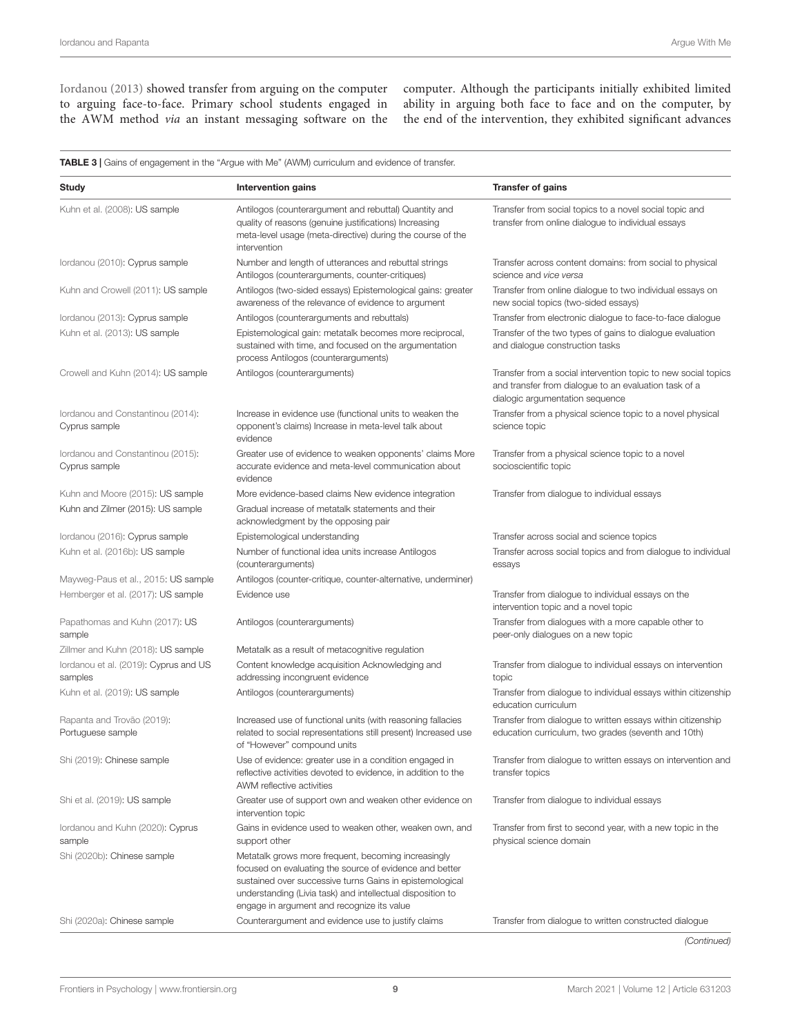[Iordanou](#page-12-26) [\(2013\)](#page-12-26) showed transfer from arguing on the computer to arguing face-to-face. Primary school students engaged in the AWM method via an instant messaging software on the computer. Although the participants initially exhibited limited ability in arguing both face to face and on the computer, by the end of the intervention, they exhibited significant advances

TABLE 3 | Gains of engagement in the "Argue with Me" (AWM) curriculum and evidence of transfer.

| Study                                              | Intervention gains                                                                                                                                                                                                                                                                     | <b>Transfer of gains</b>                                                                                                                                   |
|----------------------------------------------------|----------------------------------------------------------------------------------------------------------------------------------------------------------------------------------------------------------------------------------------------------------------------------------------|------------------------------------------------------------------------------------------------------------------------------------------------------------|
| Kuhn et al. (2008): US sample                      | Antilogos (counterargument and rebuttal) Quantity and<br>quality of reasons (genuine justifications) Increasing<br>meta-level usage (meta-directive) during the course of the<br>intervention                                                                                          | Transfer from social topics to a novel social topic and<br>transfer from online dialogue to individual essays                                              |
| lordanou (2010): Cyprus sample                     | Number and length of utterances and rebuttal strings<br>Antilogos (counterarguments, counter-critiques)                                                                                                                                                                                | Transfer across content domains: from social to physical<br>science and vice versa                                                                         |
| Kuhn and Crowell (2011): US sample                 | Antilogos (two-sided essays) Epistemological gains: greater<br>awareness of the relevance of evidence to argument                                                                                                                                                                      | Transfer from online dialogue to two individual essays on<br>new social topics (two-sided essays)                                                          |
| lordanou (2013): Cyprus sample                     | Antilogos (counterarguments and rebuttals)                                                                                                                                                                                                                                             | Transfer from electronic dialogue to face-to-face dialogue                                                                                                 |
| Kuhn et al. (2013): US sample                      | Epistemological gain: metatalk becomes more reciprocal,<br>sustained with time, and focused on the argumentation<br>process Antilogos (counterarguments)                                                                                                                               | Transfer of the two types of gains to dialogue evaluation<br>and dialoque construction tasks                                                               |
| Crowell and Kuhn (2014): US sample                 | Antilogos (counterarguments)                                                                                                                                                                                                                                                           | Transfer from a social intervention topic to new social topics<br>and transfer from dialogue to an evaluation task of a<br>dialogic argumentation sequence |
| lordanou and Constantinou (2014):<br>Cyprus sample | Increase in evidence use (functional units to weaken the<br>opponent's claims) Increase in meta-level talk about<br>evidence                                                                                                                                                           | Transfer from a physical science topic to a novel physical<br>science topic                                                                                |
| Iordanou and Constantinou (2015):<br>Cyprus sample | Greater use of evidence to weaken opponents' claims More<br>accurate evidence and meta-level communication about<br>evidence                                                                                                                                                           | Transfer from a physical science topic to a novel<br>socioscientific topic                                                                                 |
| Kuhn and Moore (2015): US sample                   | More evidence-based claims New evidence integration                                                                                                                                                                                                                                    | Transfer from dialogue to individual essays                                                                                                                |
| Kuhn and Zilmer (2015): US sample                  | Gradual increase of metatalk statements and their<br>acknowledgment by the opposing pair                                                                                                                                                                                               |                                                                                                                                                            |
| lordanou (2016): Cyprus sample                     | Epistemological understanding                                                                                                                                                                                                                                                          | Transfer across social and science topics                                                                                                                  |
| Kuhn et al. (2016b): US sample                     | Number of functional idea units increase Antilogos<br>(counterarguments)                                                                                                                                                                                                               | Transfer across social topics and from dialogue to individual<br>essays                                                                                    |
| Mayweg-Paus et al., 2015: US sample                | Antilogos (counter-critique, counter-alternative, underminer)                                                                                                                                                                                                                          |                                                                                                                                                            |
| Hemberger et al. (2017): US sample                 | Evidence use                                                                                                                                                                                                                                                                           | Transfer from dialogue to individual essays on the<br>intervention topic and a novel topic                                                                 |
| Papathomas and Kuhn (2017): US<br>sample           | Antilogos (counterarguments)                                                                                                                                                                                                                                                           | Transfer from dialogues with a more capable other to<br>peer-only dialogues on a new topic                                                                 |
| Zillmer and Kuhn (2018): US sample                 | Metatalk as a result of metacognitive regulation                                                                                                                                                                                                                                       |                                                                                                                                                            |
| lordanou et al. (2019): Cyprus and US<br>samples   | Content knowledge acquisition Acknowledging and<br>addressing incongruent evidence                                                                                                                                                                                                     | Transfer from dialogue to individual essays on intervention<br>topic                                                                                       |
| Kuhn et al. (2019): US sample                      | Antilogos (counterarguments)                                                                                                                                                                                                                                                           | Transfer from dialogue to individual essays within citizenship<br>education curriculum                                                                     |
| Rapanta and Trovão (2019):<br>Portuguese sample    | Increased use of functional units (with reasoning fallacies<br>related to social representations still present) Increased use<br>of "However" compound units                                                                                                                           | Transfer from dialogue to written essays within citizenship<br>education curriculum, two grades (seventh and 10th)                                         |
| Shi (2019): Chinese sample                         | Use of evidence: greater use in a condition engaged in<br>reflective activities devoted to evidence, in addition to the<br>AWM reflective activities                                                                                                                                   | Transfer from dialogue to written essays on intervention and<br>transfer topics                                                                            |
| Shi et al. (2019): US sample                       | Greater use of support own and weaken other evidence on<br>intervention topic                                                                                                                                                                                                          | Transfer from dialogue to individual essays                                                                                                                |
| lordanou and Kuhn (2020): Cyprus<br>sample         | Gains in evidence used to weaken other, weaken own, and<br>support other                                                                                                                                                                                                               | Transfer from first to second year, with a new topic in the<br>physical science domain                                                                     |
| Shi (2020b): Chinese sample                        | Metatalk grows more frequent, becoming increasingly<br>focused on evaluating the source of evidence and better<br>sustained over successive turns Gains in epistemological<br>understanding (Livia task) and intellectual disposition to<br>engage in argument and recognize its value |                                                                                                                                                            |
|                                                    |                                                                                                                                                                                                                                                                                        |                                                                                                                                                            |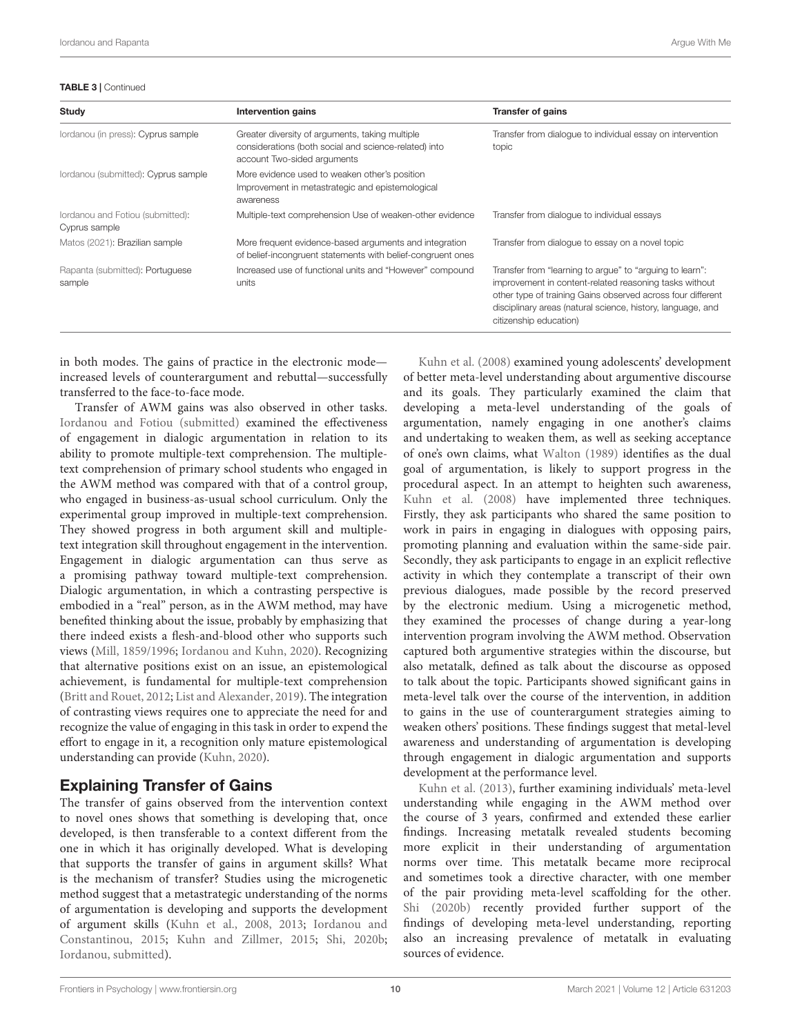#### <span id="page-9-0"></span>TABLE 3 | Continued

| Study                                             | Intervention gains                                                                                                                      | <b>Transfer of gains</b>                                                                                                                                                                                                                                                   |
|---------------------------------------------------|-----------------------------------------------------------------------------------------------------------------------------------------|----------------------------------------------------------------------------------------------------------------------------------------------------------------------------------------------------------------------------------------------------------------------------|
| lordanou (in press): Cyprus sample                | Greater diversity of arguments, taking multiple<br>considerations (both social and science-related) into<br>account Two-sided arguments | Transfer from dialogue to individual essay on intervention<br>topic                                                                                                                                                                                                        |
| lordanou (submitted): Cyprus sample               | More evidence used to weaken other's position<br>Improvement in metastrategic and epistemological<br>awareness                          |                                                                                                                                                                                                                                                                            |
| lordanou and Fotiou (submitted):<br>Cyprus sample | Multiple-text comprehension Use of weaken-other evidence                                                                                | Transfer from dialogue to individual essays                                                                                                                                                                                                                                |
| Matos (2021): Brazilian sample                    | More frequent evidence-based arguments and integration<br>of belief-incongruent statements with belief-congruent ones                   | Transfer from dialoque to essay on a novel topic                                                                                                                                                                                                                           |
| Rapanta (submitted): Portuguese<br>sample         | Increased use of functional units and "However" compound<br>units                                                                       | Transfer from "learning to argue" to "arguing to learn":<br>improvement in content-related reasoning tasks without<br>other type of training Gains observed across four different<br>disciplinary areas (natural science, history, language, and<br>citizenship education) |

in both modes. The gains of practice in the electronic mode increased levels of counterargument and rebuttal—successfully transferred to the face-to-face mode.

Transfer of AWM gains was also observed in other tasks. [Iordanou and Fotiou](#page-12-43) [\(submitted\)](#page-12-43) examined the effectiveness of engagement in dialogic argumentation in relation to its ability to promote multiple-text comprehension. The multipletext comprehension of primary school students who engaged in the AWM method was compared with that of a control group, who engaged in business-as-usual school curriculum. Only the experimental group improved in multiple-text comprehension. They showed progress in both argument skill and multipletext integration skill throughout engagement in the intervention. Engagement in dialogic argumentation can thus serve as a promising pathway toward multiple-text comprehension. Dialogic argumentation, in which a contrasting perspective is embodied in a "real" person, as in the AWM method, may have benefited thinking about the issue, probably by emphasizing that there indeed exists a flesh-and-blood other who supports such views [\(Mill,](#page-13-31) [1859/1996;](#page-13-31) [Iordanou and Kuhn,](#page-12-24) [2020\)](#page-12-24). Recognizing that alternative positions exist on an issue, an epistemological achievement, is fundamental for multiple-text comprehension [\(Britt and Rouet,](#page-12-44) [2012;](#page-12-44) [List and Alexander,](#page-12-45) [2019\)](#page-12-45). The integration of contrasting views requires one to appreciate the need for and recognize the value of engaging in this task in order to expend the effort to engage in it, a recognition only mature epistemological understanding can provide [\(Kuhn,](#page-12-46) [2020\)](#page-12-46).

### Explaining Transfer of Gains

The transfer of gains observed from the intervention context to novel ones shows that something is developing that, once developed, is then transferable to a context different from the one in which it has originally developed. What is developing that supports the transfer of gains in argument skills? What is the mechanism of transfer? Studies using the microgenetic method suggest that a metastrategic understanding of the norms of argumentation is developing and supports the development of argument skills [\(Kuhn et al.,](#page-12-10) [2008,](#page-12-10) [2013;](#page-12-14) [Iordanou and](#page-12-23) [Constantinou,](#page-12-23) [2015;](#page-12-23) [Kuhn and Zillmer,](#page-12-40) [2015;](#page-12-40) [Shi,](#page-13-23) [2020b;](#page-13-23) [Iordanou,](#page-12-31) [submitted\)](#page-12-31).

[Kuhn et al.](#page-12-10) [\(2008\)](#page-12-10) examined young adolescents' development of better meta-level understanding about argumentive discourse and its goals. They particularly examined the claim that developing a meta-level understanding of the goals of argumentation, namely engaging in one another's claims and undertaking to weaken them, as well as seeking acceptance of one's own claims, what [Walton](#page-13-4) [\(1989\)](#page-13-4) identifies as the dual goal of argumentation, is likely to support progress in the procedural aspect. In an attempt to heighten such awareness, [Kuhn et al.](#page-12-10) [\(2008\)](#page-12-10) have implemented three techniques. Firstly, they ask participants who shared the same position to work in pairs in engaging in dialogues with opposing pairs, promoting planning and evaluation within the same-side pair. Secondly, they ask participants to engage in an explicit reflective activity in which they contemplate a transcript of their own previous dialogues, made possible by the record preserved by the electronic medium. Using a microgenetic method, they examined the processes of change during a year-long intervention program involving the AWM method. Observation captured both argumentive strategies within the discourse, but also metatalk, defined as talk about the discourse as opposed to talk about the topic. Participants showed significant gains in meta-level talk over the course of the intervention, in addition to gains in the use of counterargument strategies aiming to weaken others' positions. These findings suggest that metal-level awareness and understanding of argumentation is developing through engagement in dialogic argumentation and supports development at the performance level.

[Kuhn et al.](#page-12-14) [\(2013\)](#page-12-14), further examining individuals' meta-level understanding while engaging in the AWM method over the course of 3 years, confirmed and extended these earlier findings. Increasing metatalk revealed students becoming more explicit in their understanding of argumentation norms over time. This metatalk became more reciprocal and sometimes took a directive character, with one member of the pair providing meta-level scaffolding for the other. [Shi](#page-13-23) [\(2020b\)](#page-13-23) recently provided further support of the findings of developing meta-level understanding, reporting also an increasing prevalence of metatalk in evaluating sources of evidence.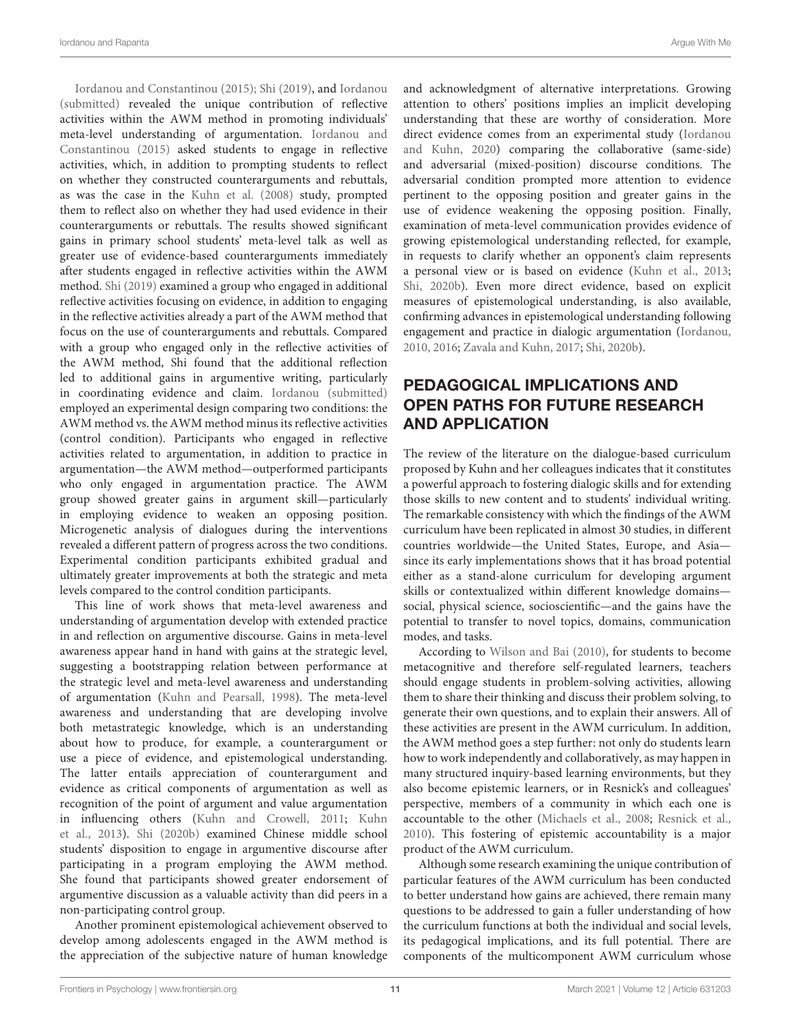[Iordanou and Constantinou](#page-12-23) [\(2015\)](#page-12-23); [Shi](#page-13-15) [\(2019\)](#page-13-15), and [Iordanou](#page-12-31) [\(submitted\)](#page-12-31) revealed the unique contribution of reflective activities within the AWM method in promoting individuals' meta-level understanding of argumentation. [Iordanou and](#page-12-23) [Constantinou](#page-12-23) [\(2015\)](#page-12-23) asked students to engage in reflective activities, which, in addition to prompting students to reflect on whether they constructed counterarguments and rebuttals, as was the case in the [Kuhn et al.](#page-12-10) [\(2008\)](#page-12-10) study, prompted them to reflect also on whether they had used evidence in their counterarguments or rebuttals. The results showed significant gains in primary school students' meta-level talk as well as greater use of evidence-based counterarguments immediately after students engaged in reflective activities within the AWM method. [Shi](#page-13-15) [\(2019\)](#page-13-15) examined a group who engaged in additional reflective activities focusing on evidence, in addition to engaging in the reflective activities already a part of the AWM method that focus on the use of counterarguments and rebuttals. Compared with a group who engaged only in the reflective activities of the AWM method, Shi found that the additional reflection led to additional gains in argumentive writing, particularly in coordinating evidence and claim. [Iordanou](#page-12-31) [\(submitted\)](#page-12-31) employed an experimental design comparing two conditions: the AWM method vs. the AWM method minus its reflective activities (control condition). Participants who engaged in reflective activities related to argumentation, in addition to practice in argumentation—the AWM method—outperformed participants who only engaged in argumentation practice. The AWM group showed greater gains in argument skill—particularly in employing evidence to weaken an opposing position. Microgenetic analysis of dialogues during the interventions revealed a different pattern of progress across the two conditions. Experimental condition participants exhibited gradual and ultimately greater improvements at both the strategic and meta levels compared to the control condition participants.

This line of work shows that meta-level awareness and understanding of argumentation develop with extended practice in and reflection on argumentive discourse. Gains in meta-level awareness appear hand in hand with gains at the strategic level, suggesting a bootstrapping relation between performance at the strategic level and meta-level awareness and understanding of argumentation [\(Kuhn and Pearsall,](#page-12-47) [1998\)](#page-12-47). The meta-level awareness and understanding that are developing involve both metastrategic knowledge, which is an understanding about how to produce, for example, a counterargument or use a piece of evidence, and epistemological understanding. The latter entails appreciation of counterargument and evidence as critical components of argumentation as well as recognition of the point of argument and value argumentation in influencing others [\(Kuhn and Crowell,](#page-12-27) [2011;](#page-12-27) [Kuhn](#page-12-14) [et al.,](#page-12-14) [2013\)](#page-12-14). [Shi](#page-13-23) [\(2020b\)](#page-13-23) examined Chinese middle school students' disposition to engage in argumentive discourse after participating in a program employing the AWM method. She found that participants showed greater endorsement of argumentive discussion as a valuable activity than did peers in a non-participating control group.

Another prominent epistemological achievement observed to develop among adolescents engaged in the AWM method is the appreciation of the subjective nature of human knowledge and acknowledgment of alternative interpretations. Growing attention to others' positions implies an implicit developing understanding that these are worthy of consideration. More direct evidence comes from an experimental study [\(Iordanou](#page-12-24) [and Kuhn,](#page-12-24) [2020\)](#page-12-24) comparing the collaborative (same-side) and adversarial (mixed-position) discourse conditions. The adversarial condition prompted more attention to evidence pertinent to the opposing position and greater gains in the use of evidence weakening the opposing position. Finally, examination of meta-level communication provides evidence of growing epistemological understanding reflected, for example, in requests to clarify whether an opponent's claim represents a personal view or is based on evidence [\(Kuhn et al.,](#page-12-14) [2013;](#page-12-14) [Shi,](#page-13-23) [2020b\)](#page-13-23). Even more direct evidence, based on explicit measures of epistemological understanding, is also available, confirming advances in epistemological understanding following engagement and practice in dialogic argumentation [\(Iordanou,](#page-12-25) [2010,](#page-12-25) [2016;](#page-12-41) [Zavala and Kuhn,](#page-13-22) [2017;](#page-13-22) [Shi,](#page-13-23) [2020b\)](#page-13-23).

# PEDAGOGICAL IMPLICATIONS AND OPEN PATHS FOR FUTURE RESEARCH AND APPLICATION

The review of the literature on the dialogue-based curriculum proposed by Kuhn and her colleagues indicates that it constitutes a powerful approach to fostering dialogic skills and for extending those skills to new content and to students' individual writing. The remarkable consistency with which the findings of the AWM curriculum have been replicated in almost 30 studies, in different countries worldwide—the United States, Europe, and Asia since its early implementations shows that it has broad potential either as a stand-alone curriculum for developing argument skills or contextualized within different knowledge domains social, physical science, socioscientific—and the gains have the potential to transfer to novel topics, domains, communication modes, and tasks.

According to [Wilson and Bai](#page-13-32) [\(2010\)](#page-13-32), for students to become metacognitive and therefore self-regulated learners, teachers should engage students in problem-solving activities, allowing them to share their thinking and discuss their problem solving, to generate their own questions, and to explain their answers. All of these activities are present in the AWM curriculum. In addition, the AWM method goes a step further: not only do students learn how to work independently and collaboratively, as may happen in many structured inquiry-based learning environments, but they also become epistemic learners, or in Resnick's and colleagues' perspective, members of a community in which each one is accountable to the other [\(Michaels et al.,](#page-13-13) [2008;](#page-13-13) [Resnick et al.,](#page-13-7) [2010\)](#page-13-7). This fostering of epistemic accountability is a major product of the AWM curriculum.

Although some research examining the unique contribution of particular features of the AWM curriculum has been conducted to better understand how gains are achieved, there remain many questions to be addressed to gain a fuller understanding of how the curriculum functions at both the individual and social levels, its pedagogical implications, and its full potential. There are components of the multicomponent AWM curriculum whose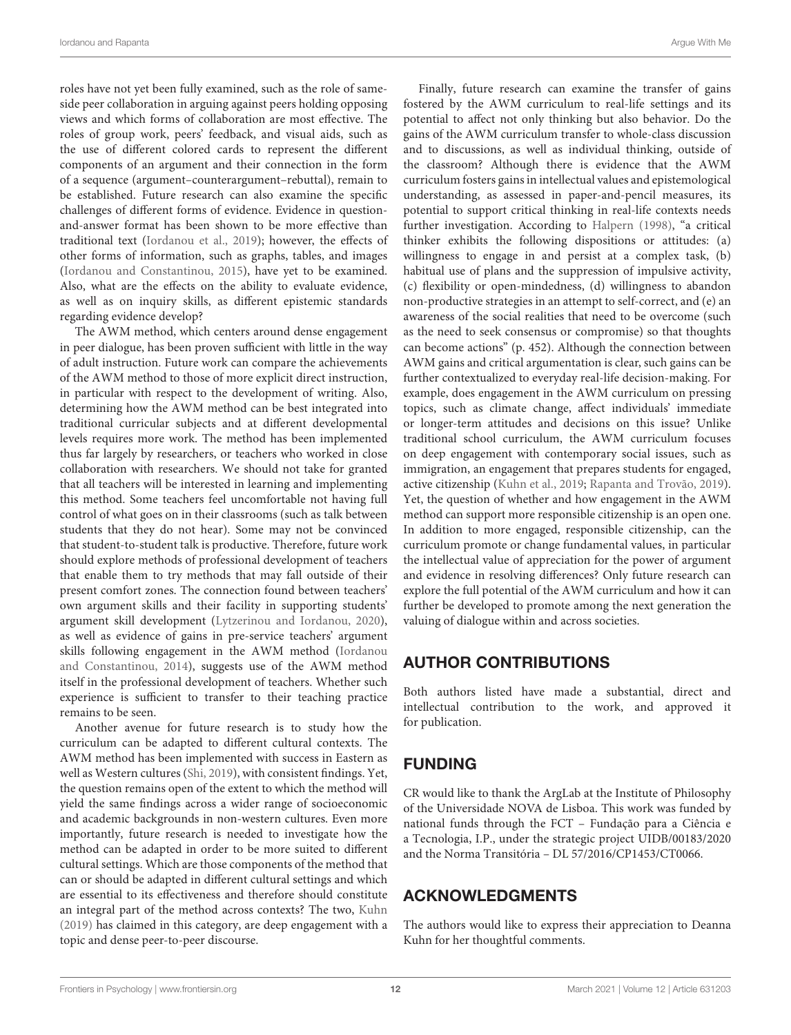roles have not yet been fully examined, such as the role of sameside peer collaboration in arguing against peers holding opposing views and which forms of collaboration are most effective. The roles of group work, peers' feedback, and visual aids, such as the use of different colored cards to represent the different components of an argument and their connection in the form of a sequence (argument–counterargument–rebuttal), remain to be established. Future research can also examine the specific challenges of different forms of evidence. Evidence in questionand-answer format has been shown to be more effective than traditional text [\(Iordanou et al.,](#page-12-12) [2019\)](#page-12-12); however, the effects of other forms of information, such as graphs, tables, and images [\(Iordanou and Constantinou,](#page-12-23) [2015\)](#page-12-23), have yet to be examined. Also, what are the effects on the ability to evaluate evidence, as well as on inquiry skills, as different epistemic standards regarding evidence develop?

The AWM method, which centers around dense engagement in peer dialogue, has been proven sufficient with little in the way of adult instruction. Future work can compare the achievements of the AWM method to those of more explicit direct instruction, in particular with respect to the development of writing. Also, determining how the AWM method can be best integrated into traditional curricular subjects and at different developmental levels requires more work. The method has been implemented thus far largely by researchers, or teachers who worked in close collaboration with researchers. We should not take for granted that all teachers will be interested in learning and implementing this method. Some teachers feel uncomfortable not having full control of what goes on in their classrooms (such as talk between students that they do not hear). Some may not be convinced that student-to-student talk is productive. Therefore, future work should explore methods of professional development of teachers that enable them to try methods that may fall outside of their present comfort zones. The connection found between teachers' own argument skills and their facility in supporting students' argument skill development [\(Lytzerinou and Iordanou,](#page-12-48) [2020\)](#page-12-48), as well as evidence of gains in pre-service teachers' argument skills following engagement in the AWM method [\(Iordanou](#page-12-28) [and Constantinou,](#page-12-28) [2014\)](#page-12-28), suggests use of the AWM method itself in the professional development of teachers. Whether such experience is sufficient to transfer to their teaching practice remains to be seen.

Another avenue for future research is to study how the curriculum can be adapted to different cultural contexts. The AWM method has been implemented with success in Eastern as well as Western cultures [\(Shi,](#page-13-15) [2019\)](#page-13-15), with consistent findings. Yet, the question remains open of the extent to which the method will yield the same findings across a wider range of socioeconomic and academic backgrounds in non-western cultures. Even more importantly, future research is needed to investigate how the method can be adapted in order to be more suited to different cultural settings. Which are those components of the method that can or should be adapted in different cultural settings and which are essential to its effectiveness and therefore should constitute an integral part of the method across contexts? The two, [Kuhn](#page-12-8) [\(2019\)](#page-12-8) has claimed in this category, are deep engagement with a topic and dense peer-to-peer discourse.

Finally, future research can examine the transfer of gains fostered by the AWM curriculum to real-life settings and its potential to affect not only thinking but also behavior. Do the gains of the AWM curriculum transfer to whole-class discussion and to discussions, as well as individual thinking, outside of the classroom? Although there is evidence that the AWM curriculum fosters gains in intellectual values and epistemological understanding, as assessed in paper-and-pencil measures, its potential to support critical thinking in real-life contexts needs further investigation. According to [Halpern](#page-12-49) [\(1998\)](#page-12-49), "a critical thinker exhibits the following dispositions or attitudes: (a) willingness to engage in and persist at a complex task, (b) habitual use of plans and the suppression of impulsive activity, (c) flexibility or open-mindedness, (d) willingness to abandon non-productive strategies in an attempt to self-correct, and (e) an awareness of the social realities that need to be overcome (such as the need to seek consensus or compromise) so that thoughts can become actions" (p. 452). Although the connection between AWM gains and critical argumentation is clear, such gains can be further contextualized to everyday real-life decision-making. For example, does engagement in the AWM curriculum on pressing topics, such as climate change, affect individuals' immediate or longer-term attitudes and decisions on this issue? Unlike traditional school curriculum, the AWM curriculum focuses on deep engagement with contemporary social issues, such as immigration, an engagement that prepares students for engaged, active citizenship [\(Kuhn et al.,](#page-12-42) [2019;](#page-12-42) [Rapanta and Trovão,](#page-13-30) [2019\)](#page-13-30). Yet, the question of whether and how engagement in the AWM method can support more responsible citizenship is an open one. In addition to more engaged, responsible citizenship, can the curriculum promote or change fundamental values, in particular the intellectual value of appreciation for the power of argument and evidence in resolving differences? Only future research can explore the full potential of the AWM curriculum and how it can further be developed to promote among the next generation the valuing of dialogue within and across societies.

# AUTHOR CONTRIBUTIONS

Both authors listed have made a substantial, direct and intellectual contribution to the work, and approved it for publication.

# FUNDING

CR would like to thank the ArgLab at the Institute of Philosophy of the Universidade NOVA de Lisboa. This work was funded by national funds through the FCT – Fundação para a Ciência e a Tecnologia, I.P., under the strategic project UIDB/00183/2020 and the Norma Transitória – DL 57/2016/CP1453/CT0066.

# ACKNOWLEDGMENTS

The authors would like to express their appreciation to Deanna Kuhn for her thoughtful comments.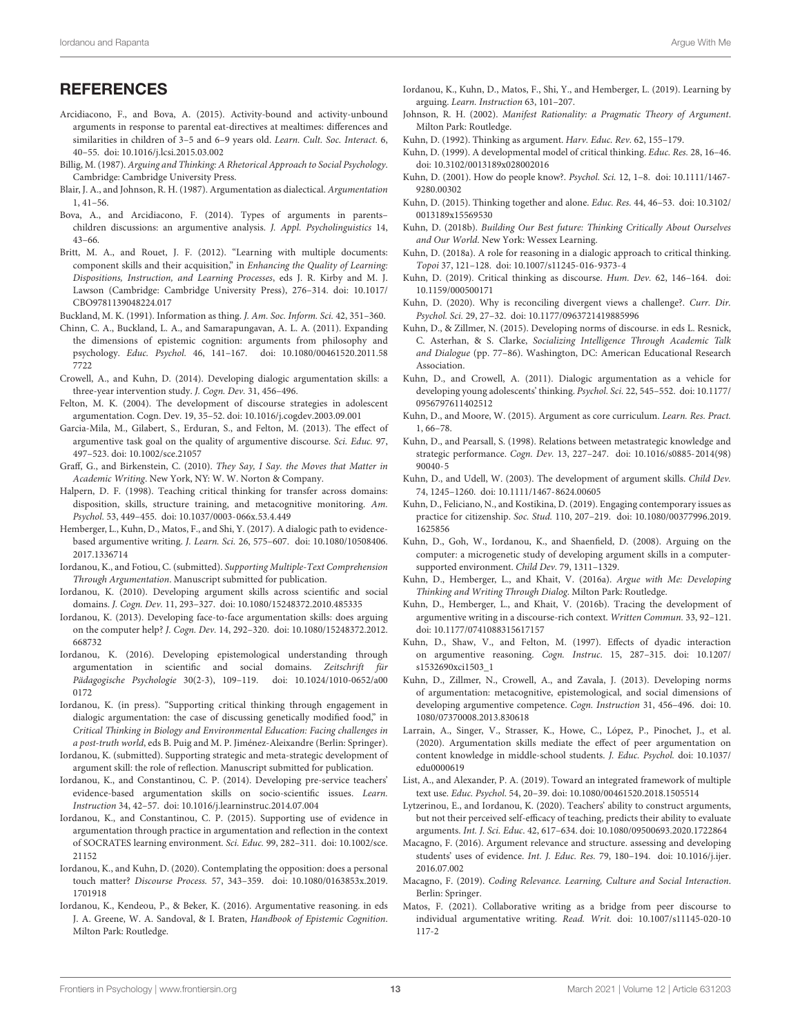- <span id="page-12-19"></span>Arcidiacono, F., and Bova, A. (2015). Activity-bound and activity-unbound arguments in response to parental eat-directives at mealtimes: differences and similarities in children of 3-5 and 6-9 years old. Learn. Cult. Soc. Interact. 6, 40–55. [doi: 10.1016/j.lcsi.2015.03.002](https://doi.org/10.1016/j.lcsi.2015.03.002)
- <span id="page-12-3"></span>Billig, M. (1987). Arguing and Thinking: A Rhetorical Approach to Social Psychology. Cambridge: Cambridge University Press.
- <span id="page-12-15"></span>Blair, J. A., and Johnson, R. H. (1987). Argumentation as dialectical. Argumentation 1, 41–56.
- <span id="page-12-18"></span>Bova, A., and Arcidiacono, F. (2014). Types of arguments in parents– children discussions: an argumentive analysis. J. Appl. Psycholinguistics 14, 43–66.
- <span id="page-12-44"></span>Britt, M. A., and Rouet, J. F. (2012). "Learning with multiple documents: component skills and their acquisition," in Enhancing the Quality of Learning: Dispositions, Instruction, and Learning Processes, eds J. R. Kirby and M. J. Lawson (Cambridge: Cambridge University Press), 276–314. [doi: 10.1017/](https://doi.org/10.1017/CBO9781139048224.017) [CBO9781139048224.017](https://doi.org/10.1017/CBO9781139048224.017)
- <span id="page-12-20"></span>Buckland, M. K. (1991). Information as thing. J. Am. Soc. Inform. Sci. 42, 351–360.
- <span id="page-12-35"></span>Chinn, C. A., Buckland, L. A., and Samarapungavan, A. L. A. (2011). Expanding the dimensions of epistemic cognition: arguments from philosophy and psychology. Educ. Psychol. 46, 141–167. [doi: 10.1080/00461520.2011.58](https://doi.org/10.1080/00461520.2011.587722) [7722](https://doi.org/10.1080/00461520.2011.587722)
- <span id="page-12-13"></span>Crowell, A., and Kuhn, D. (2014). Developing dialogic argumentation skills: a three-year intervention study. J. Cogn. Dev. 31, 456–496.
- <span id="page-12-11"></span>Felton, M. K. (2004). The development of discourse strategies in adolescent argumentation. Cogn. Dev. 19, 35–52. [doi: 10.1016/j.cogdev.2003.09.001](https://doi.org/10.1016/j.cogdev.2003.09.001)
- <span id="page-12-0"></span>Garcia-Mila, M., Gilabert, S., Erduran, S., and Felton, M. (2013). The effect of argumentive task goal on the quality of argumentive discourse. Sci. Educ. 97, 497–523. [doi: 10.1002/sce.21057](https://doi.org/10.1002/sce.21057)
- <span id="page-12-39"></span>Graff, G., and Birkenstein, C. (2010). They Say, I Say. the Moves that Matter in Academic Writing. New York, NY: W. W. Norton & Company.
- <span id="page-12-49"></span>Halpern, D. F. (1998). Teaching critical thinking for transfer across domains: disposition, skills, structure training, and metacognitive monitoring. Am. Psychol. 53, 449–455. [doi: 10.1037/0003-066x.53.4.449](https://doi.org/10.1037/0003-066x.53.4.449)
- <span id="page-12-21"></span>Hemberger, L., Kuhn, D., Matos, F., and Shi, Y. (2017). A dialogic path to evidencebased argumentive writing. J. Learn. Sci. 26, 575–607. [doi: 10.1080/10508406.](https://doi.org/10.1080/10508406.2017.1336714) [2017.1336714](https://doi.org/10.1080/10508406.2017.1336714)
- <span id="page-12-43"></span>Iordanou, K., and Fotiou, C. (submitted). Supporting Multiple-Text Comprehension Through Argumentation. Manuscript submitted for publication.
- <span id="page-12-25"></span>Iordanou, K. (2010). Developing argument skills across scientific and social domains. J. Cogn. Dev. 11, 293–327. [doi: 10.1080/15248372.2010.485335](https://doi.org/10.1080/15248372.2010.485335)
- <span id="page-12-26"></span>Iordanou, K. (2013). Developing face-to-face argumentation skills: does arguing on the computer help? J. Cogn. Dev. 14, 292–320. [doi: 10.1080/15248372.2012.](https://doi.org/10.1080/15248372.2012.668732) [668732](https://doi.org/10.1080/15248372.2012.668732)
- <span id="page-12-41"></span>Iordanou, K. (2016). Developing epistemological understanding through argumentation in scientific and social domains. Zeitschrift für Pädagogische Psychologie 30(2-3), 109–119. [doi: 10.1024/1010-0652/a00](https://doi.org/10.1024/1010-0652/a000172) [0172](https://doi.org/10.1024/1010-0652/a000172)
- <span id="page-12-38"></span>Iordanou, K. (in press). "Supporting critical thinking through engagement in dialogic argumentation: the case of discussing genetically modified food," in Critical Thinking in Biology and Environmental Education: Facing challenges in a post-truth world, eds B. Puig and M. P. Jiménez-Aleixandre (Berlin: Springer).
- <span id="page-12-31"></span>Iordanou, K. (submitted). Supporting strategic and meta-strategic development of argument skill: the role of reflection. Manuscript submitted for publication.
- <span id="page-12-28"></span>Iordanou, K., and Constantinou, C. P. (2014). Developing pre-service teachers' evidence-based argumentation skills on socio-scientific issues. Learn. Instruction 34, 42–57. [doi: 10.1016/j.learninstruc.2014.07.004](https://doi.org/10.1016/j.learninstruc.2014.07.004)
- <span id="page-12-23"></span>Iordanou, K., and Constantinou, C. P. (2015). Supporting use of evidence in argumentation through practice in argumentation and reflection in the context of SOCRATES learning environment. Sci. Educ. 99, 282–311. [doi: 10.1002/sce.](https://doi.org/10.1002/sce.21152) [21152](https://doi.org/10.1002/sce.21152)
- <span id="page-12-24"></span>Iordanou, K., and Kuhn, D. (2020). Contemplating the opposition: does a personal touch matter? Discourse Process. 57, 343–359. [doi: 10.1080/0163853x.2019.](https://doi.org/10.1080/0163853x.2019.1701918) [1701918](https://doi.org/10.1080/0163853x.2019.1701918)
- <span id="page-12-34"></span>Iordanou, K., Kendeou, P., & Beker, K. (2016). Argumentative reasoning. in eds J. A. Greene, W. A. Sandoval, & I. Braten, Handbook of Epistemic Cognition. Milton Park: Routledge.
- <span id="page-12-12"></span>Iordanou, K., Kuhn, D., Matos, F., Shi, Y., and Hemberger, L. (2019). Learning by arguing. Learn. Instruction 63, 101–207.
- <span id="page-12-6"></span>Johnson, R. H. (2002). Manifest Rationality: a Pragmatic Theory of Argument. Milton Park: Routledge.
- <span id="page-12-4"></span>Kuhn, D. (1992). Thinking as argument. Harv. Educ. Rev. 62, 155–179.
- <span id="page-12-36"></span>Kuhn, D. (1999). A developmental model of critical thinking. Educ. Res. 28, 16–46. [doi: 10.3102/0013189x028002016](https://doi.org/10.3102/0013189x028002016)
- <span id="page-12-37"></span>Kuhn, D. (2001). How do people know?. Psychol. Sci. 12, 1–8. [doi: 10.1111/1467-](https://doi.org/10.1111/1467-9280.00302) [9280.00302](https://doi.org/10.1111/1467-9280.00302)
- <span id="page-12-17"></span>Kuhn, D. (2015). Thinking together and alone. Educ. Res. 44, 46–53. [doi: 10.3102/](https://doi.org/10.3102/0013189x15569530) [0013189x15569530](https://doi.org/10.3102/0013189x15569530)
- <span id="page-12-5"></span>Kuhn, D. (2018b). Building Our Best future: Thinking Critically About Ourselves and Our World. New York: Wessex Learning.
- <span id="page-12-7"></span>Kuhn, D. (2018a). A role for reasoning in a dialogic approach to critical thinking. Topoi 37, 121–128. [doi: 10.1007/s11245-016-9373-4](https://doi.org/10.1007/s11245-016-9373-4)
- <span id="page-12-8"></span>Kuhn, D. (2019). Critical thinking as discourse. Hum. Dev. 62, 146–164. [doi:](https://doi.org/10.1159/000500171) [10.1159/000500171](https://doi.org/10.1159/000500171)
- <span id="page-12-46"></span>Kuhn, D. (2020). Why is reconciling divergent views a challenge?. Curr. Dir. Psychol. Sci. 29, 27–32. [doi: 10.1177/0963721419885996](https://doi.org/10.1177/0963721419885996)
- <span id="page-12-40"></span>Kuhn, D., & Zillmer, N. (2015). Developing norms of discourse. in eds L. Resnick, C. Asterhan, & S. Clarke, Socializing Intelligence Through Academic Talk and Dialogue (pp. 77–86). Washington, DC: American Educational Research Association.
- <span id="page-12-27"></span>Kuhn, D., and Crowell, A. (2011). Dialogic argumentation as a vehicle for developing young adolescents' thinking. Psychol. Sci. 22, 545–552. [doi: 10.1177/](https://doi.org/10.1177/0956797611402512) [0956797611402512](https://doi.org/10.1177/0956797611402512)
- <span id="page-12-16"></span>Kuhn, D., and Moore, W. (2015). Argument as core curriculum. Learn. Res. Pract. 1, 66–78.
- <span id="page-12-47"></span>Kuhn, D., and Pearsall, S. (1998). Relations between metastrategic knowledge and strategic performance. Cogn. Dev. 13, 227–247. [doi: 10.1016/s0885-2014\(98\)](https://doi.org/10.1016/s0885-2014(98)90040-5) [90040-5](https://doi.org/10.1016/s0885-2014(98)90040-5)
- <span id="page-12-9"></span>Kuhn, D., and Udell, W. (2003). The development of argument skills. Child Dev. 74, 1245–1260. [doi: 10.1111/1467-8624.00605](https://doi.org/10.1111/1467-8624.00605)
- <span id="page-12-42"></span>Kuhn, D., Feliciano, N., and Kostikina, D. (2019). Engaging contemporary issues as practice for citizenship. Soc. Stud. 110, 207–219. [doi: 10.1080/00377996.2019.](https://doi.org/10.1080/00377996.2019.1625856) [1625856](https://doi.org/10.1080/00377996.2019.1625856)
- <span id="page-12-10"></span>Kuhn, D., Goh, W., Iordanou, K., and Shaenfield, D. (2008). Arguing on the computer: a microgenetic study of developing argument skills in a computersupported environment. Child Dev. 79, 1311–1329.
- <span id="page-12-2"></span>Kuhn, D., Hemberger, L., and Khait, V. (2016a). Argue with Me: Developing Thinking and Writing Through Dialog. Milton Park: Routledge.
- <span id="page-12-22"></span>Kuhn, D., Hemberger, L., and Khait, V. (2016b). Tracing the development of argumentive writing in a discourse-rich context. Written Commun. 33, 92–121. [doi: 10.1177/0741088315617157](https://doi.org/10.1177/0741088315617157)
- <span id="page-12-30"></span>Kuhn, D., Shaw, V., and Felton, M. (1997). Effects of dyadic interaction on argumentive reasoning. Cogn. Instruc. 15, 287–315. [doi: 10.1207/](https://doi.org/10.1207/s1532690xci1503_1) [s1532690xci1503\\_1](https://doi.org/10.1207/s1532690xci1503_1)
- <span id="page-12-14"></span>Kuhn, D., Zillmer, N., Crowell, A., and Zavala, J. (2013). Developing norms of argumentation: metacognitive, epistemological, and social dimensions of developing argumentive competence. Cogn. Instruction 31, 456–496. [doi: 10.](https://doi.org/10.1080/07370008.2013.830618) [1080/07370008.2013.830618](https://doi.org/10.1080/07370008.2013.830618)
- <span id="page-12-1"></span>Larrain, A., Singer, V., Strasser, K., Howe, C., López, P., Pinochet, J., et al. (2020). Argumentation skills mediate the effect of peer argumentation on content knowledge in middle-school students. J. Educ. Psychol. [doi: 10.1037/](https://doi.org/10.1037/edu0000619) [edu0000619](https://doi.org/10.1037/edu0000619)
- <span id="page-12-45"></span>List, A., and Alexander, P. A. (2019). Toward an integrated framework of multiple text use. Educ. Psychol. 54, 20–39. [doi: 10.1080/00461520.2018.1505514](https://doi.org/10.1080/00461520.2018.1505514)
- <span id="page-12-48"></span>Lytzerinou, E., and Iordanou, K. (2020). Teachers' ability to construct arguments, but not their perceived self-efficacy of teaching, predicts their ability to evaluate arguments. Int. J. Sci. Educ. 42, 617–634. [doi: 10.1080/09500693.2020.1722864](https://doi.org/10.1080/09500693.2020.1722864)
- <span id="page-12-32"></span>Macagno, F. (2016). Argument relevance and structure. assessing and developing students' uses of evidence. Int. J. Educ. Res. 79, 180–194. [doi: 10.1016/j.ijer.](https://doi.org/10.1016/j.ijer.2016.07.002) [2016.07.002](https://doi.org/10.1016/j.ijer.2016.07.002)
- <span id="page-12-33"></span>Macagno, F. (2019). Coding Relevance. Learning, Culture and Social Interaction. Berlin: Springer.
- <span id="page-12-29"></span>Matos, F. (2021). Collaborative writing as a bridge from peer discourse to individual argumentative writing. Read. Writ. [doi: 10.1007/s11145-020-10](https://doi.org/10.1007/s11145-020-10117-2) [117-2](https://doi.org/10.1007/s11145-020-10117-2)